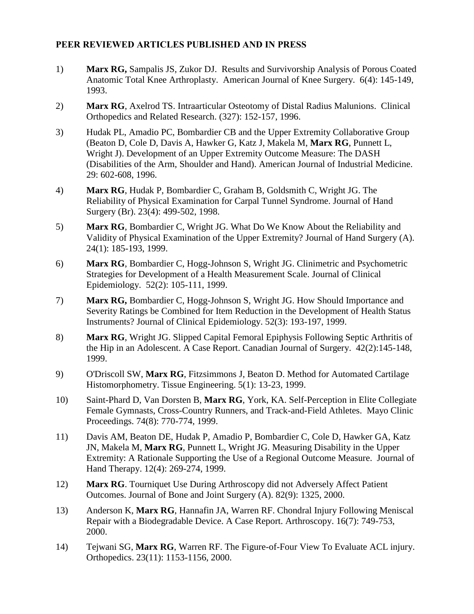## **PEER REVIEWED ARTICLES PUBLISHED AND IN PRESS**

- 1) **Marx RG,** Sampalis JS, Zukor DJ. Results and Survivorship Analysis of Porous Coated Anatomic Total Knee Arthroplasty. American Journal of Knee Surgery. 6(4): 145-149, 1993.
- 2) **Marx RG**, Axelrod TS. Intraarticular Osteotomy of Distal Radius Malunions. Clinical Orthopedics and Related Research. (327): 152-157, 1996.
- 3) Hudak PL, Amadio PC, Bombardier CB and the Upper Extremity Collaborative Group (Beaton D, Cole D, Davis A, Hawker G, Katz J, Makela M, **Marx RG**, Punnett L, Wright J). Development of an Upper Extremity Outcome Measure: The DASH (Disabilities of the Arm, Shoulder and Hand). American Journal of Industrial Medicine. 29: 602-608, 1996.
- 4) **Marx RG**, Hudak P, Bombardier C, Graham B, Goldsmith C, Wright JG. The Reliability of Physical Examination for Carpal Tunnel Syndrome. Journal of Hand Surgery (Br). 23(4): 499-502, 1998.
- 5) **Marx RG**, Bombardier C, Wright JG. What Do We Know About the Reliability and Validity of Physical Examination of the Upper Extremity? Journal of Hand Surgery (A). 24(1): 185-193, 1999.
- 6) **Marx RG**, Bombardier C, Hogg-Johnson S, Wright JG. Clinimetric and Psychometric Strategies for Development of a Health Measurement Scale. Journal of Clinical Epidemiology. 52(2): 105-111, 1999.
- 7) **Marx RG,** Bombardier C, Hogg-Johnson S, Wright JG. How Should Importance and Severity Ratings be Combined for Item Reduction in the Development of Health Status Instruments? Journal of Clinical Epidemiology. 52(3): 193-197, 1999.
- 8) **Marx RG**, Wright JG. Slipped Capital Femoral Epiphysis Following Septic Arthritis of the Hip in an Adolescent. A Case Report. Canadian Journal of Surgery. 42(2):145-148, 1999.
- 9) O'Driscoll SW, **Marx RG**, Fitzsimmons J, Beaton D. Method for Automated Cartilage Histomorphometry. Tissue Engineering. 5(1): 13-23, 1999.
- 10) Saint-Phard D, Van Dorsten B, **Marx RG**, York, KA. Self-Perception in Elite Collegiate Female Gymnasts, Cross-Country Runners, and Track-and-Field Athletes. Mayo Clinic Proceedings. 74(8): 770-774, 1999.
- 11) Davis AM, Beaton DE, Hudak P, Amadio P, Bombardier C, Cole D, Hawker GA, Katz JN, Makela M, **Marx RG**, Punnett L, Wright JG. Measuring Disability in the Upper Extremity: A Rationale Supporting the Use of a Regional Outcome Measure. Journal of Hand Therapy. 12(4): 269-274, 1999.
- 12) **Marx RG**. Tourniquet Use During Arthroscopy did not Adversely Affect Patient Outcomes. Journal of Bone and Joint Surgery (A). 82(9): 1325, 2000.
- 13) Anderson K, **Marx RG**, Hannafin JA, Warren RF. Chondral Injury Following Meniscal Repair with a Biodegradable Device. A Case Report. Arthroscopy. 16(7): 749-753, 2000.
- 14) Tejwani SG, **Marx RG**, Warren RF. The Figure-of-Four View To Evaluate ACL injury. Orthopedics. 23(11): 1153-1156, 2000.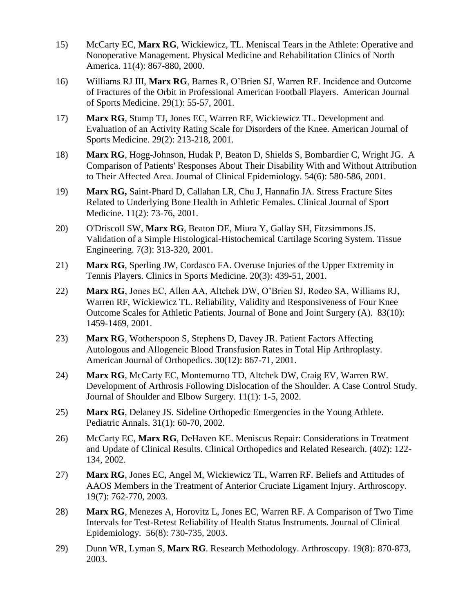- 15) McCarty EC, **Marx RG**, Wickiewicz, TL. Meniscal Tears in the Athlete: Operative and Nonoperative Management. Physical Medicine and Rehabilitation Clinics of North America. 11(4): 867-880, 2000.
- 16) Williams RJ III, **Marx RG**, Barnes R, O'Brien SJ, Warren RF. Incidence and Outcome of Fractures of the Orbit in Professional American Football Players. American Journal of Sports Medicine. 29(1): 55-57, 2001.
- 17) **Marx RG**, Stump TJ, Jones EC, Warren RF, Wickiewicz TL. Development and Evaluation of an Activity Rating Scale for Disorders of the Knee. American Journal of Sports Medicine. 29(2): 213-218, 2001.
- 18) **Marx RG**, Hogg-Johnson, Hudak P, Beaton D, Shields S, Bombardier C, Wright JG. A Comparison of Patients' Responses About Their Disability With and Without Attribution to Their Affected Area. Journal of Clinical Epidemiology. 54(6): 580-586, 2001.
- 19) **Marx RG,** Saint-Phard D, Callahan LR, Chu J, Hannafin JA. Stress Fracture Sites Related to Underlying Bone Health in Athletic Females. Clinical Journal of Sport Medicine. 11(2): 73-76, 2001.
- 20) O'Driscoll SW, **Marx RG**, Beaton DE, Miura Y, Gallay SH, Fitzsimmons JS. Validation of a Simple Histological-Histochemical Cartilage Scoring System. Tissue Engineering. 7(3): 313-320, 2001.
- 21) **Marx RG**, Sperling JW, Cordasco FA. Overuse Injuries of the Upper Extremity in Tennis Players. Clinics in Sports Medicine. 20(3): 439-51, 2001.
- 22) **Marx RG**, Jones EC, Allen AA, Altchek DW, O'Brien SJ, Rodeo SA, Williams RJ, Warren RF, Wickiewicz TL. Reliability, Validity and Responsiveness of Four Knee Outcome Scales for Athletic Patients. Journal of Bone and Joint Surgery (A). 83(10): 1459-1469, 2001.
- 23) **Marx RG**, Wotherspoon S, Stephens D, Davey JR. Patient Factors Affecting Autologous and Allogeneic Blood Transfusion Rates in Total Hip Arthroplasty. American Journal of Orthopedics. 30(12): 867-71, 2001.
- 24) **Marx RG**, McCarty EC, Montemurno TD, Altchek DW, Craig EV, Warren RW. Development of Arthrosis Following Dislocation of the Shoulder. A Case Control Study. Journal of Shoulder and Elbow Surgery. 11(1): 1-5, 2002.
- 25) **Marx RG**, Delaney JS. Sideline Orthopedic Emergencies in the Young Athlete. Pediatric Annals. 31(1): 60-70, 2002.
- 26) McCarty EC, **Marx RG**, DeHaven KE. Meniscus Repair: Considerations in Treatment and Update of Clinical Results. Clinical Orthopedics and Related Research. (402): 122- 134, 2002.
- 27) **Marx RG**, Jones EC, Angel M, Wickiewicz TL, Warren RF. Beliefs and Attitudes of AAOS Members in the Treatment of Anterior Cruciate Ligament Injury. Arthroscopy. 19(7): 762-770, 2003.
- 28) **Marx RG**, Menezes A, Horovitz L, Jones EC, Warren RF. A Comparison of Two Time Intervals for Test-Retest Reliability of Health Status Instruments. Journal of Clinical Epidemiology. 56(8): 730-735, 2003.
- 29) Dunn WR, Lyman S, **Marx RG**. Research Methodology. Arthroscopy. 19(8): 870-873, 2003.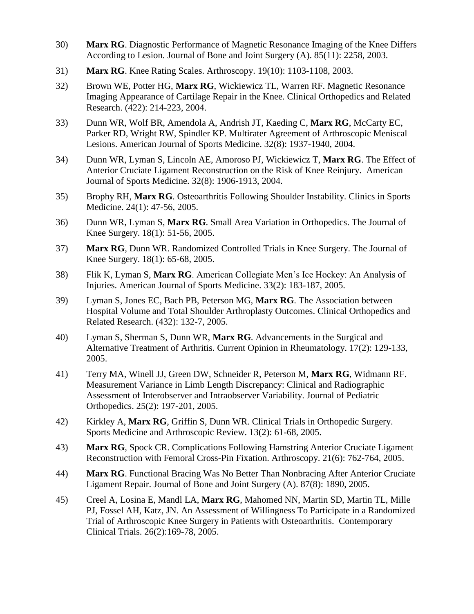- 30) **Marx RG**. Diagnostic Performance of Magnetic Resonance Imaging of the Knee Differs According to Lesion. Journal of Bone and Joint Surgery (A). 85(11): 2258, 2003.
- 31) **Marx RG**. Knee Rating Scales. Arthroscopy. 19(10): 1103-1108, 2003.
- 32) Brown WE, Potter HG, **Marx RG**, Wickiewicz TL, Warren RF. Magnetic Resonance Imaging Appearance of Cartilage Repair in the Knee. Clinical Orthopedics and Related Research. (422): 214-223, 2004.
- 33) Dunn WR, Wolf BR, Amendola A, Andrish JT, Kaeding C, **Marx RG**, McCarty EC, Parker RD, Wright RW, Spindler KP. Multirater Agreement of Arthroscopic Meniscal Lesions. American Journal of Sports Medicine. 32(8): 1937-1940, 2004.
- 34) Dunn WR, Lyman S, Lincoln AE, Amoroso PJ, Wickiewicz T, **Marx RG**. The Effect of Anterior Cruciate Ligament Reconstruction on the Risk of Knee Reinjury. American Journal of Sports Medicine. 32(8): 1906-1913, 2004.
- 35) Brophy RH, **Marx RG**. Osteoarthritis Following Shoulder Instability. Clinics in Sports Medicine. 24(1): 47-56, 2005.
- 36) Dunn WR, Lyman S, **Marx RG**. Small Area Variation in Orthopedics. The Journal of Knee Surgery. 18(1): 51-56, 2005.
- 37) **Marx RG**, Dunn WR. Randomized Controlled Trials in Knee Surgery. The Journal of Knee Surgery. 18(1): 65-68, 2005.
- 38) Flik K, Lyman S, **Marx RG**. American Collegiate Men's Ice Hockey: An Analysis of Injuries. American Journal of Sports Medicine. 33(2): 183-187, 2005.
- 39) Lyman S, Jones EC, Bach PB, Peterson MG, **Marx RG**. The Association between Hospital Volume and Total Shoulder Arthroplasty Outcomes. Clinical Orthopedics and Related Research. (432): 132-7, 2005.
- 40) Lyman S, Sherman S, Dunn WR, **Marx RG**. Advancements in the Surgical and Alternative Treatment of Arthritis. Current Opinion in Rheumatology. 17(2): 129-133, 2005.
- 41) Terry MA, Winell JJ, Green DW, Schneider R, Peterson M, **Marx RG**, Widmann RF. Measurement Variance in Limb Length Discrepancy: Clinical and Radiographic Assessment of Interobserver and Intraobserver Variability. Journal of Pediatric Orthopedics. 25(2): 197-201, 2005.
- 42) Kirkley A, **Marx RG**, Griffin S, Dunn WR. Clinical Trials in Orthopedic Surgery. Sports Medicine and Arthroscopic Review. 13(2): 61-68, 2005.
- 43) **Marx RG**, Spock CR. Complications Following Hamstring Anterior Cruciate Ligament Reconstruction with Femoral Cross-Pin Fixation. Arthroscopy. 21(6): 762-764, 2005.
- 44) **Marx RG**. Functional Bracing Was No Better Than Nonbracing After Anterior Cruciate Ligament Repair. Journal of Bone and Joint Surgery (A). 87(8): 1890, 2005.
- 45) Creel A, Losina E, Mandl LA, **Marx RG**, Mahomed NN, Martin SD, Martin TL, Mille PJ, Fossel AH, Katz, JN. An Assessment of Willingness To Participate in a Randomized Trial of Arthroscopic Knee Surgery in Patients with Osteoarthritis. Contemporary Clinical Trials. 26(2):169-78, 2005.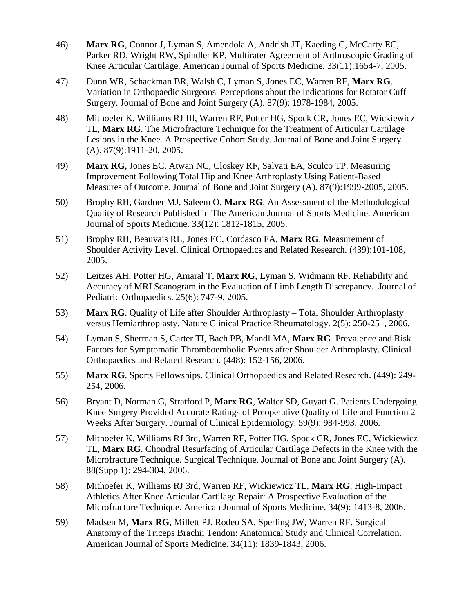- 46) **Marx RG**, Connor J, Lyman S, Amendola A, Andrish JT, Kaeding C, McCarty EC, Parker RD, Wright RW, Spindler KP. Multirater Agreement of Arthroscopic Grading of Knee Articular Cartilage. American Journal of Sports Medicine. 33(11):1654-7, 2005.
- 47) Dunn WR, Schackman BR, Walsh C, Lyman S, Jones EC, Warren RF, **Marx RG**. Variation in Orthopaedic Surgeons' Perceptions about the Indications for Rotator Cuff Surgery. Journal of Bone and Joint Surgery (A). 87(9): 1978-1984, 2005.
- 48) Mithoefer K, Williams RJ III, Warren RF, Potter HG, Spock CR, Jones EC, Wickiewicz TL, **Marx RG**. The Microfracture Technique for the Treatment of Articular Cartilage Lesions in the Knee. A Prospective Cohort Study. Journal of Bone and Joint Surgery (A). 87(9):1911-20, 2005.
- 49) **Marx RG**, Jones EC, Atwan NC, Closkey RF, Salvati EA, Sculco TP. Measuring Improvement Following Total Hip and Knee Arthroplasty Using Patient-Based Measures of Outcome. Journal of Bone and Joint Surgery (A). 87(9):1999-2005, 2005.
- 50) Brophy RH, Gardner MJ, Saleem O, **Marx RG**. An Assessment of the Methodological Quality of Research Published in The American Journal of Sports Medicine. American Journal of Sports Medicine. 33(12): 1812-1815, 2005.
- 51) Brophy RH, Beauvais RL, Jones EC, Cordasco FA, **Marx RG**. Measurement of Shoulder Activity Level. Clinical Orthopaedics and Related Research. (439):101-108, 2005.
- 52) Leitzes AH, Potter HG, Amaral T, **Marx RG**, Lyman S, Widmann RF. Reliability and Accuracy of MRI Scanogram in the Evaluation of Limb Length Discrepancy. Journal of Pediatric Orthopaedics. 25(6): 747-9, 2005.
- 53) **Marx RG**. Quality of Life after Shoulder Arthroplasty Total Shoulder Arthroplasty versus Hemiarthroplasty. Nature Clinical Practice Rheumatology. 2(5): 250-251, 2006.
- 54) Lyman S, Sherman S, Carter TI, Bach PB, Mandl MA, **Marx RG**. Prevalence and Risk Factors for Symptomatic Thromboembolic Events after Shoulder Arthroplasty. Clinical Orthopaedics and Related Research. (448): 152-156, 2006.
- 55) **Marx RG**. Sports Fellowships. Clinical Orthopaedics and Related Research. (449): 249- 254, 2006.
- 56) Bryant D, Norman G, Stratford P, **Marx RG**, Walter SD, Guyatt G. Patients Undergoing Knee Surgery Provided Accurate Ratings of Preoperative Quality of Life and Function 2 Weeks After Surgery. Journal of Clinical Epidemiology. 59(9): 984-993, 2006.
- 57) Mithoefer K, Williams RJ 3rd, Warren RF, Potter HG, Spock CR, Jones EC, Wickiewicz TL, **Marx RG**. Chondral Resurfacing of Articular Cartilage Defects in the Knee with the Microfracture Technique. Surgical Technique. Journal of Bone and Joint Surgery (A). 88(Supp 1): 294-304, 2006.
- 58) Mithoefer K, Williams RJ 3rd, Warren RF, Wickiewicz TL, **Marx RG**. High-Impact Athletics After Knee Articular Cartilage Repair: A Prospective Evaluation of the Microfracture Technique. American Journal of Sports Medicine. 34(9): 1413-8, 2006.
- 59) Madsen M, **Marx RG**, Millett PJ, Rodeo SA, Sperling JW, Warren RF. Surgical Anatomy of the Triceps Brachii Tendon: Anatomical Study and Clinical Correlation. American Journal of Sports Medicine. 34(11): 1839-1843, 2006.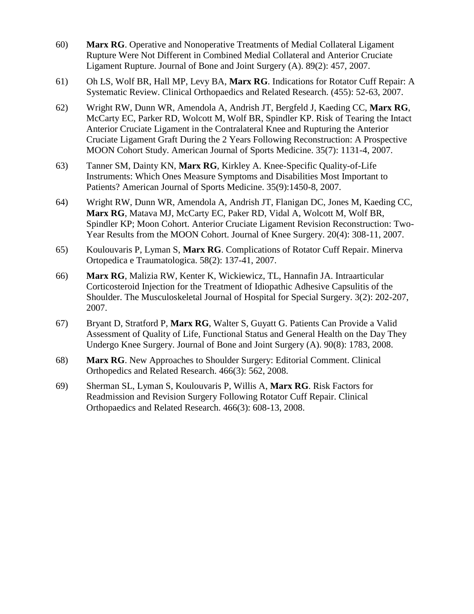- 60) **Marx RG**. Operative and Nonoperative Treatments of Medial Collateral Ligament Rupture Were Not Different in Combined Medial Collateral and Anterior Cruciate Ligament Rupture. Journal of Bone and Joint Surgery (A). 89(2): 457, 2007.
- 61) Oh LS, Wolf BR, Hall MP, Levy BA, **Marx RG**. Indications for Rotator Cuff Repair: A Systematic Review. Clinical Orthopaedics and Related Research. (455): 52-63, 2007.
- 62) Wright RW, Dunn WR, Amendola A, Andrish JT, Bergfeld J, Kaeding CC, **Marx RG**, McCarty EC, Parker RD, Wolcott M, Wolf BR, Spindler KP. Risk of Tearing the Intact Anterior Cruciate Ligament in the Contralateral Knee and Rupturing the Anterior Cruciate Ligament Graft During the 2 Years Following Reconstruction: A Prospective MOON Cohort Study. American Journal of Sports Medicine. 35(7): 1131-4, 2007.
- 63) Tanner SM, Dainty KN, **Marx RG**, Kirkley A. Knee-Specific Quality-of-Life Instruments: Which Ones Measure Symptoms and Disabilities Most Important to Patients? American Journal of Sports Medicine. 35(9):1450-8, 2007.
- 64) Wright RW, Dunn WR, Amendola A, Andrish JT, Flanigan DC, Jones M, Kaeding CC, **Marx RG**, Matava MJ, McCarty EC, Paker RD, Vidal A, Wolcott M, Wolf BR, Spindler KP; Moon Cohort. Anterior Cruciate Ligament Revision Reconstruction: Two-Year Results from the MOON Cohort. Journal of Knee Surgery. 20(4): 308-11, 2007.
- 65) Koulouvaris P, Lyman S, **Marx RG**. Complications of Rotator Cuff Repair. Minerva Ortopedica e Traumatologica. 58(2): 137-41, 2007.
- 66) **Marx RG**, Malizia RW, Kenter K, Wickiewicz, TL, Hannafin JA. Intraarticular Corticosteroid Injection for the Treatment of Idiopathic Adhesive Capsulitis of the Shoulder. The Musculoskeletal Journal of Hospital for Special Surgery. 3(2): 202-207, 2007.
- 67) Bryant D, Stratford P, **Marx RG**, Walter S, Guyatt G. Patients Can Provide a Valid Assessment of Quality of Life, Functional Status and General Health on the Day They Undergo Knee Surgery. Journal of Bone and Joint Surgery (A). 90(8): 1783, 2008.
- 68) **Marx RG**. New Approaches to Shoulder Surgery: Editorial Comment. Clinical Orthopedics and Related Research. 466(3): 562, 2008.
- 69) Sherman SL, Lyman S, Koulouvaris P, Willis A, **Marx RG**. Risk Factors for Readmission and Revision Surgery Following Rotator Cuff Repair. Clinical Orthopaedics and Related Research. 466(3): 608-13, 2008.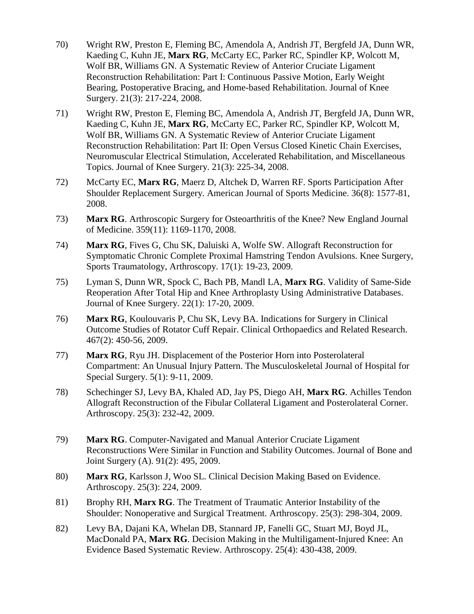- 70) Wright RW, Preston E, Fleming BC, Amendola A, Andrish JT, Bergfeld JA, Dunn WR, Kaeding C, Kuhn JE, **Marx RG**, McCarty EC, Parker RC, Spindler KP, Wolcott M, Wolf BR, Williams GN. A Systematic Review of Anterior Cruciate Ligament Reconstruction Rehabilitation: Part I: Continuous Passive Motion, Early Weight Bearing, Postoperative Bracing, and Home-based Rehabilitation. Journal of Knee Surgery. 21(3): 217-224, 2008.
- 71) Wright RW, Preston E, Fleming BC, Amendola A, Andrish JT, Bergfeld JA, Dunn WR, Kaeding C, Kuhn JE, **Marx RG**, McCarty EC, Parker RC, Spindler KP, Wolcott M, Wolf BR, Williams GN. A Systematic Review of Anterior Cruciate Ligament Reconstruction Rehabilitation: Part II: Open Versus Closed Kinetic Chain Exercises, Neuromuscular Electrical Stimulation, Accelerated Rehabilitation, and Miscellaneous Topics. Journal of Knee Surgery. 21(3): 225-34, 2008.
- 72) McCarty EC, **Marx RG**, Maerz D, Altchek D, Warren RF. Sports Participation After Shoulder Replacement Surgery. American Journal of Sports Medicine. 36(8): 1577-81, 2008.
- 73) **Marx RG**. Arthroscopic Surgery for Osteoarthritis of the Knee? New England Journal of Medicine. 359(11): 1169-1170, 2008.
- 74) **Marx RG**, Fives G, Chu SK, Daluiski A, Wolfe SW. Allograft Reconstruction for Symptomatic Chronic Complete Proximal Hamstring Tendon Avulsions. Knee Surgery, Sports Traumatology, Arthroscopy. 17(1): 19-23, 2009.
- 75) Lyman S, Dunn WR, Spock C, Bach PB, Mandl LA, **Marx RG**. Validity of Same-Side Reoperation After Total Hip and Knee Arthroplasty Using Administrative Databases. Journal of Knee Surgery. 22(1): 17-20, 2009.
- 76) **Marx RG**, Koulouvaris P, Chu SK, Levy BA. Indications for Surgery in Clinical Outcome Studies of Rotator Cuff Repair. Clinical Orthopaedics and Related Research. 467(2): 450-56, 2009.
- 77) **Marx RG**, Ryu JH. Displacement of the Posterior Horn into Posterolateral Compartment: An Unusual Injury Pattern. The Musculoskeletal Journal of Hospital for Special Surgery. 5(1): 9-11, 2009.
- 78) Schechinger SJ, Levy BA, Khaled AD, Jay PS, Diego AH, **Marx RG**. Achilles Tendon Allograft Reconstruction of the Fibular Collateral Ligament and Posterolateral Corner. Arthroscopy. 25(3): 232-42, 2009.
- 79) **Marx RG**. Computer-Navigated and Manual Anterior Cruciate Ligament Reconstructions Were Similar in Function and Stability Outcomes. Journal of Bone and Joint Surgery (A). 91(2): 495, 2009.
- 80) **Marx RG**, Karlsson J, Woo SL. Clinical Decision Making Based on Evidence. Arthroscopy. 25(3): 224, 2009.
- 81) Brophy RH, **Marx RG**. The Treatment of Traumatic Anterior Instability of the Shoulder: Nonoperative and Surgical Treatment. Arthroscopy. 25(3): 298-304, 2009.
- 82) Levy BA, Dajani KA, Whelan DB, Stannard JP, Fanelli GC, Stuart MJ, Boyd JL, MacDonald PA, **Marx RG**. Decision Making in the Multiligament-Injured Knee: An Evidence Based Systematic Review. Arthroscopy. 25(4): 430-438, 2009.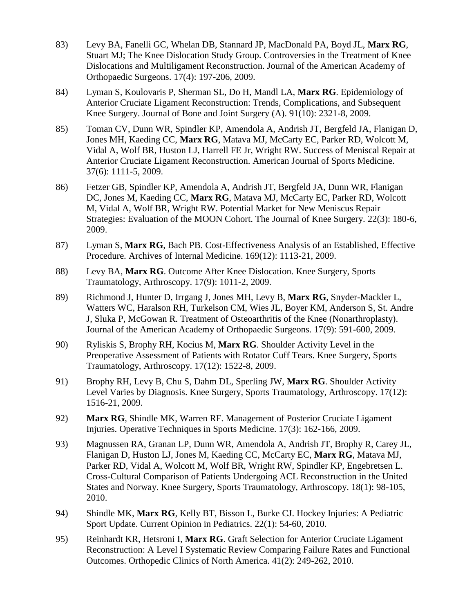- 83) Levy BA, Fanelli GC, Whelan DB, Stannard JP, MacDonald PA, Boyd JL, **Marx RG**, Stuart MJ; The Knee Dislocation Study Group. Controversies in the Treatment of Knee Dislocations and Multiligament Reconstruction. Journal of the American Academy of Orthopaedic Surgeons. 17(4): 197-206, 2009.
- 84) Lyman S, Koulovaris P, Sherman SL, Do H, Mandl LA, **Marx RG**. Epidemiology of Anterior Cruciate Ligament Reconstruction: Trends, Complications, and Subsequent Knee Surgery. Journal of Bone and Joint Surgery (A). 91(10): 2321-8, 2009.
- 85) Toman CV, Dunn WR, Spindler KP, Amendola A, Andrish JT, Bergfeld JA, Flanigan D, Jones MH, Kaeding CC, **Marx RG**, Matava MJ, McCarty EC, Parker RD, Wolcott M, Vidal A, Wolf BR, Huston LJ, Harrell FE Jr, Wright RW. Success of Meniscal Repair at Anterior Cruciate Ligament Reconstruction. American Journal of Sports Medicine. 37(6): 1111-5, 2009.
- 86) Fetzer GB, Spindler KP, Amendola A, Andrish JT, Bergfeld JA, Dunn WR, Flanigan DC, Jones M, Kaeding CC, **Marx RG**, Matava MJ, McCarty EC, Parker RD, Wolcott M, Vidal A, Wolf BR, Wright RW. Potential Market for New Meniscus Repair Strategies: Evaluation of the MOON Cohort. The Journal of Knee Surgery. 22(3): 180-6, 2009.
- 87) Lyman S, **Marx RG**, Bach PB. Cost-Effectiveness Analysis of an Established, Effective Procedure. Archives of Internal Medicine. 169(12): 1113-21, 2009.
- 88) Levy BA, **Marx RG**. Outcome After Knee Dislocation. Knee Surgery, Sports Traumatology, Arthroscopy. 17(9): 1011-2, 2009.
- 89) Richmond J, Hunter D, Irrgang J, Jones MH, Levy B, **Marx RG**, Snyder-Mackler L, Watters WC, Haralson RH, Turkelson CM, Wies JL, Boyer KM, Anderson S, St. Andre J, Sluka P, McGowan R. Treatment of Osteoarthritis of the Knee (Nonarthroplasty). Journal of the American Academy of Orthopaedic Surgeons. 17(9): 591-600, 2009.
- 90) Ryliskis S, Brophy RH, Kocius M, **Marx RG**. Shoulder Activity Level in the Preoperative Assessment of Patients with Rotator Cuff Tears. Knee Surgery, Sports Traumatology, Arthroscopy. 17(12): 1522-8, 2009.
- 91) Brophy RH, Levy B, Chu S, Dahm DL, Sperling JW, **Marx RG**. Shoulder Activity Level Varies by Diagnosis. Knee Surgery, Sports Traumatology, Arthroscopy. 17(12): 1516-21, 2009.
- 92) **Marx RG**, Shindle MK, Warren RF. Management of Posterior Cruciate Ligament Injuries. Operative Techniques in Sports Medicine. 17(3): 162-166, 2009.
- 93) Magnussen RA, Granan LP, Dunn WR, Amendola A, Andrish JT, Brophy R, Carey JL, Flanigan D, Huston LJ, Jones M, Kaeding CC, McCarty EC, **Marx RG**, Matava MJ, Parker RD, Vidal A, Wolcott M, Wolf BR, Wright RW, Spindler KP, Engebretsen L. Cross-Cultural Comparison of Patients Undergoing ACL Reconstruction in the United States and Norway. Knee Surgery, Sports Traumatology, Arthroscopy. 18(1): 98-105, 2010.
- 94) Shindle MK, **Marx RG**, Kelly BT, Bisson L, Burke CJ. Hockey Injuries: A Pediatric Sport Update. Current Opinion in Pediatrics. 22(1): 54-60, 2010.
- 95) Reinhardt KR, Hetsroni I, **Marx RG**. Graft Selection for Anterior Cruciate Ligament Reconstruction: A Level I Systematic Review Comparing Failure Rates and Functional Outcomes. Orthopedic Clinics of North America. 41(2): 249-262, 2010.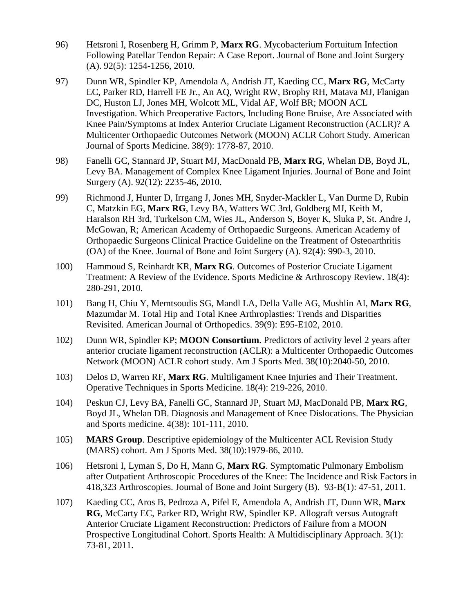- 96) Hetsroni I, Rosenberg H, Grimm P, **Marx RG**. Mycobacterium Fortuitum Infection Following Patellar Tendon Repair: A Case Report. Journal of Bone and Joint Surgery (A). 92(5): 1254-1256, 2010.
- 97) Dunn WR, Spindler KP, Amendola A, Andrish JT, Kaeding CC, **Marx RG**, McCarty EC, Parker RD, Harrell FE Jr., An AQ, Wright RW, Brophy RH, Matava MJ, Flanigan DC, Huston LJ, Jones MH, Wolcott ML, Vidal AF, Wolf BR; MOON ACL Investigation. Which Preoperative Factors, Including Bone Bruise, Are Associated with Knee Pain/Symptoms at Index Anterior Cruciate Ligament Reconstruction (ACLR)? A Multicenter Orthopaedic Outcomes Network (MOON) ACLR Cohort Study. American Journal of Sports Medicine. 38(9): 1778-87, 2010.
- 98) Fanelli GC, Stannard JP, Stuart MJ, MacDonald PB, **Marx RG**, Whelan DB, Boyd JL, Levy BA. Management of Complex Knee Ligament Injuries. Journal of Bone and Joint Surgery (A). 92(12): 2235-46, 2010.
- 99) Richmond J, Hunter D, Irrgang J, Jones MH, Snyder-Mackler L, Van Durme D, Rubin C, Matzkin EG, **Marx RG**, Levy BA, Watters WC 3rd, Goldberg MJ, Keith M, Haralson RH 3rd, Turkelson CM, Wies JL, Anderson S, Boyer K, Sluka P, St. Andre J, McGowan, R; American Academy of Orthopaedic Surgeons. American Academy of Orthopaedic Surgeons Clinical Practice Guideline on the Treatment of Osteoarthritis (OA) of the Knee. Journal of Bone and Joint Surgery (A). 92(4): 990-3, 2010.
- 100) Hammoud S, Reinhardt KR, **Marx RG**. Outcomes of Posterior Cruciate Ligament Treatment: A Review of the Evidence. Sports Medicine & Arthroscopy Review. 18(4): 280-291, 2010.
- 101) Bang H, Chiu Y, Memtsoudis SG, Mandl LA, Della Valle AG, Mushlin AI, **Marx RG**, Mazumdar M. Total Hip and Total Knee Arthroplasties: Trends and Disparities Revisited. American Journal of Orthopedics. 39(9): E95-E102, 2010.
- 102) Dunn WR, Spindler KP; **MOON Consortium**. Predictors of activity level 2 years after anterior cruciate ligament reconstruction (ACLR): a Multicenter Orthopaedic Outcomes Network (MOON) ACLR cohort study. Am J Sports Med. 38(10):2040-50, 2010.
- 103) Delos D, Warren RF, **Marx RG**. Multiligament Knee Injuries and Their Treatment. Operative Techniques in Sports Medicine. 18(4): 219-226, 2010.
- 104) Peskun CJ, Levy BA, Fanelli GC, Stannard JP, Stuart MJ, MacDonald PB, **Marx RG**, Boyd JL, Whelan DB. Diagnosis and Management of Knee Dislocations. The Physician and Sports medicine. 4(38): 101-111, 2010.
- 105) **MARS Group**. Descriptive epidemiology of the Multicenter ACL Revision Study (MARS) cohort. Am J Sports Med. 38(10):1979-86, 2010.
- 106) Hetsroni I, Lyman S, Do H, Mann G, **Marx RG**. Symptomatic Pulmonary Embolism after Outpatient Arthroscopic Procedures of the Knee: The Incidence and Risk Factors in 418,323 Arthroscopies. Journal of Bone and Joint Surgery (B). 93-B(1): 47-51, 2011.
- 107) Kaeding CC, Aros B, Pedroza A, Pifel E, Amendola A, Andrish JT, Dunn WR, **Marx RG**, McCarty EC, Parker RD, Wright RW, Spindler KP. Allograft versus Autograft Anterior Cruciate Ligament Reconstruction: Predictors of Failure from a MOON Prospective Longitudinal Cohort. Sports Health: A Multidisciplinary Approach. 3(1): 73-81, 2011.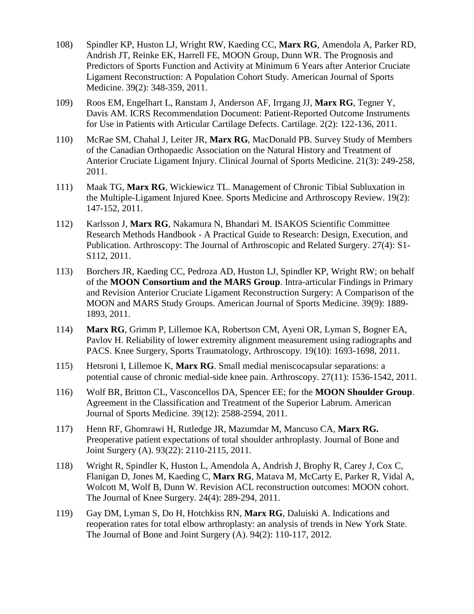- 108) Spindler KP, Huston LJ, Wright RW, Kaeding CC, **Marx RG**, Amendola A, Parker RD, Andrish JT, Reinke EK, Harrell FE, MOON Group, Dunn WR. The Prognosis and Predictors of Sports Function and Activity at Minimum 6 Years after Anterior Cruciate Ligament Reconstruction: A Population Cohort Study. American Journal of Sports Medicine. 39(2): 348-359, 2011.
- 109) Roos EM, Engelhart L, Ranstam J, Anderson AF, Irrgang JJ, **Marx RG**, Tegner Y, Davis AM. ICRS Recommendation Document: Patient-Reported Outcome Instruments for Use in Patients with Articular Cartilage Defects. Cartilage. 2(2): 122-136, 2011.
- 110) McRae SM, Chahal J, Leiter JR, **Marx RG**, MacDonald PB. Survey Study of Members of the Canadian Orthopaedic Association on the Natural History and Treatment of Anterior Cruciate Ligament Injury. Clinical Journal of Sports Medicine. 21(3): 249-258, 2011.
- 111) Maak TG, **Marx RG**, Wickiewicz TL. Management of Chronic Tibial Subluxation in the Multiple-Ligament Injured Knee. Sports Medicine and Arthroscopy Review. 19(2): 147-152, 2011.
- 112) Karlsson J, **Marx RG**, Nakamura N, Bhandari M. ISAKOS Scientific Committee Research Methods Handbook - A Practical Guide to Research: Design, Execution, and Publication. Arthroscopy: The Journal of Arthroscopic and Related Surgery. 27(4): S1- S112, 2011.
- 113) Borchers JR, Kaeding CC, Pedroza AD, Huston LJ, Spindler KP, Wright RW; on behalf of the **MOON Consortium and the MARS Group**. Intra-articular Findings in Primary and Revision Anterior Cruciate Ligament Reconstruction Surgery: A Comparison of the MOON and MARS Study Groups. American Journal of Sports Medicine. 39(9): 1889- 1893, 2011.
- 114) **Marx RG**, Grimm P, Lillemoe KA, Robertson CM, Ayeni OR, Lyman S, Bogner EA, Pavlov H. Reliability of lower extremity alignment measurement using radiographs and PACS. Knee Surgery, Sports Traumatology, Arthroscopy. 19(10): 1693-1698, 2011.
- 115) Hetsroni I, Lillemoe K, **Marx RG**. Small medial meniscocapsular separations: a potential cause of chronic medial-side knee pain. Arthroscopy. 27(11): 1536-1542, 2011.
- 116) Wolf BR, Britton CL, Vasconcellos DA, Spencer EE; for the **MOON Shoulder Group**. Agreement in the Classification and Treatment of the Superior Labrum. American Journal of Sports Medicine. 39(12): 2588-2594, 2011.
- 117) Henn RF, Ghomrawi H, Rutledge JR, Mazumdar M, Mancuso CA, **Marx RG.** Preoperative patient expectations of total shoulder arthroplasty. Journal of Bone and Joint Surgery (A). 93(22): 2110-2115, 2011.
- 118) Wright R, Spindler K, Huston L, Amendola A, Andrish J, Brophy R, Carey J, Cox C, Flanigan D, Jones M, Kaeding C, **Marx RG**, Matava M, McCarty E, Parker R, Vidal A, Wolcott M, Wolf B, Dunn W. Revision ACL reconstruction outcomes: MOON cohort. The Journal of Knee Surgery. 24(4): 289-294, 2011.
- 119) Gay DM, Lyman S, Do H, Hotchkiss RN, **Marx RG**, Daluiski A. Indications and reoperation rates for total elbow arthroplasty: an analysis of trends in New York State. The Journal of Bone and Joint Surgery (A). 94(2): 110-117, 2012.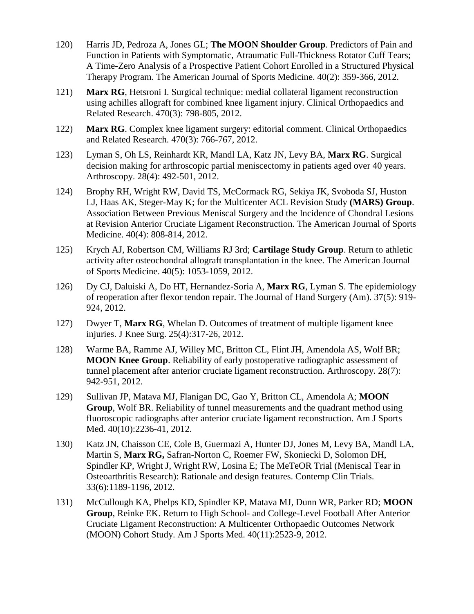- 120) Harris JD, Pedroza A, Jones GL; **The MOON Shoulder Group**. Predictors of Pain and Function in Patients with Symptomatic, Atraumatic Full-Thickness Rotator Cuff Tears; A Time-Zero Analysis of a Prospective Patient Cohort Enrolled in a Structured Physical Therapy Program. The American Journal of Sports Medicine. 40(2): 359-366, 2012.
- 121) **Marx RG**, Hetsroni I. Surgical technique: medial collateral ligament reconstruction using achilles allograft for combined knee ligament injury. Clinical Orthopaedics and Related Research. 470(3): 798-805, 2012.
- 122) **Marx RG**. Complex knee ligament surgery: editorial comment. Clinical Orthopaedics and Related Research. 470(3): 766-767, 2012.
- 123) Lyman S, Oh LS, Reinhardt KR, Mandl LA, Katz JN, Levy BA, **Marx RG**. Surgical decision making for arthroscopic partial meniscectomy in patients aged over 40 years. Arthroscopy. 28(4): 492-501, 2012.
- 124) Brophy RH, Wright RW, David TS, McCormack RG, Sekiya JK, Svoboda SJ, Huston LJ, Haas AK, Steger-May K; for the Multicenter ACL Revision Study **(MARS) Group**. Association Between Previous Meniscal Surgery and the Incidence of Chondral Lesions at Revision Anterior Cruciate Ligament Reconstruction. The American Journal of Sports Medicine. 40(4): 808-814, 2012.
- 125) Krych AJ, Robertson CM, Williams RJ 3rd; **Cartilage Study Group**. Return to athletic activity after osteochondral allograft transplantation in the knee. The American Journal of Sports Medicine. 40(5): 1053-1059, 2012.
- 126) Dy CJ, Daluiski A, Do HT, Hernandez-Soria A, **Marx RG**, Lyman S. The epidemiology of reoperation after flexor tendon repair. The Journal of Hand Surgery (Am). 37(5): 919- 924, 2012.
- 127) Dwyer T, **Marx RG**, Whelan D. Outcomes of treatment of multiple ligament knee injuries. J Knee Surg. 25(4):317-26, 2012.
- 128) Warme BA, Ramme AJ, Willey MC, Britton CL, Flint JH, Amendola AS, Wolf BR; **MOON Knee Group**. Reliability of early postoperative radiographic assessment of tunnel placement after anterior cruciate ligament reconstruction. Arthroscopy. 28(7): 942-951, 2012.
- 129) Sullivan JP, Matava MJ, Flanigan DC, Gao Y, Britton CL, Amendola A; **MOON Group**, Wolf BR. Reliability of tunnel measurements and the quadrant method using fluoroscopic radiographs after anterior cruciate ligament reconstruction. Am J Sports Med. 40(10):2236-41, 2012.
- 130) Katz JN, Chaisson CE, Cole B, Guermazi A, Hunter DJ, Jones M, Levy BA, Mandl LA, Martin S, **Marx RG,** Safran-Norton C, Roemer FW, Skoniecki D, Solomon DH, Spindler KP, Wright J, Wright RW, Losina E; The MeTeOR Trial (Meniscal Tear in Osteoarthritis Research): Rationale and design features. Contemp Clin Trials. 33(6):1189-1196, 2012.
- 131) McCullough KA, Phelps KD, Spindler KP, Matava MJ, Dunn WR, Parker RD; **MOON Group**, Reinke EK. Return to High School- and College-Level Football After Anterior Cruciate Ligament Reconstruction: A Multicenter Orthopaedic Outcomes Network (MOON) Cohort Study. Am J Sports Med. 40(11):2523-9, 2012.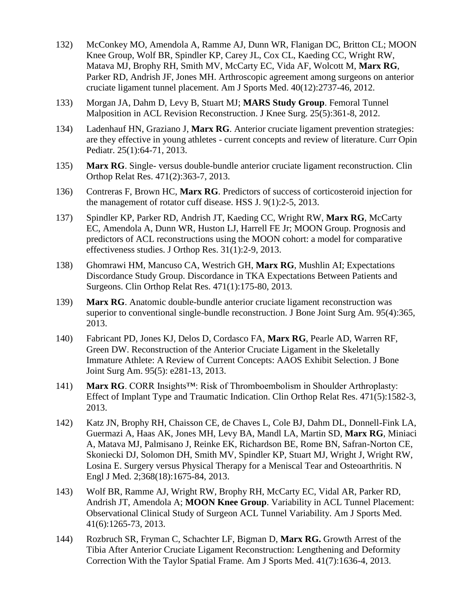- 132) McConkey MO, Amendola A, Ramme AJ, Dunn WR, Flanigan DC, Britton CL; MOON Knee Group, Wolf BR, Spindler KP, Carey JL, Cox CL, Kaeding CC, Wright RW, Matava MJ, Brophy RH, Smith MV, McCarty EC, Vida AF, Wolcott M, **Marx RG**, Parker RD, Andrish JF, Jones MH. Arthroscopic agreement among surgeons on anterior cruciate ligament tunnel placement. Am J Sports Med. 40(12):2737-46, 2012.
- 133) Morgan JA, Dahm D, Levy B, Stuart MJ; **MARS Study Group**. Femoral Tunnel Malposition in ACL Revision Reconstruction. J Knee Surg. 25(5):361-8, 2012.
- 134) Ladenhauf HN, Graziano J, **Marx RG**. Anterior cruciate ligament prevention strategies: are they effective in young athletes - current concepts and review of literature. Curr Opin Pediatr. 25(1):64-71, 2013.
- 135) **Marx RG**. Single- versus double-bundle anterior cruciate ligament reconstruction. Clin Orthop Relat Res. 471(2):363-7, 2013.
- 136) Contreras F, Brown HC, **Marx RG**. Predictors of success of corticosteroid injection for the management of rotator cuff disease. HSS J. 9(1):2-5, 2013.
- 137) Spindler KP, Parker RD, Andrish JT, Kaeding CC, Wright RW, **Marx RG**, McCarty EC, Amendola A, Dunn WR, Huston LJ, Harrell FE Jr; MOON Group. Prognosis and predictors of ACL reconstructions using the MOON cohort: a model for comparative effectiveness studies. J Orthop Res. 31(1):2-9, 2013.
- 138) Ghomrawi HM, Mancuso CA, Westrich GH, **Marx RG**, Mushlin AI; Expectations Discordance Study Group. Discordance in TKA Expectations Between Patients and Surgeons. Clin Orthop Relat Res. 471(1):175-80, 2013.
- 139) **Marx RG**. Anatomic double-bundle anterior cruciate ligament reconstruction was superior to conventional single-bundle reconstruction. J Bone Joint Surg Am. 95(4):365, 2013.
- 140) Fabricant PD, Jones KJ, Delos D, Cordasco FA, **Marx RG**, Pearle AD, Warren RF, Green DW. Reconstruction of the Anterior Cruciate Ligament in the Skeletally Immature Athlete: A Review of Current Concepts: AAOS Exhibit Selection. J Bone Joint Surg Am. 95(5): e281-13, 2013.
- 141) **Marx RG**. CORR Insights™: Risk of Thromboembolism in Shoulder Arthroplasty: Effect of Implant Type and Traumatic Indication. Clin Orthop Relat Res. 471(5):1582-3, 2013.
- 142) Katz JN, Brophy RH, Chaisson CE, de Chaves L, Cole BJ, Dahm DL, Donnell-Fink LA, Guermazi A, Haas AK, Jones MH, Levy BA, Mandl LA, Martin SD, **Marx RG**, Miniaci A, Matava MJ, Palmisano J, Reinke EK, Richardson BE, Rome BN, Safran-Norton CE, Skoniecki DJ, Solomon DH, Smith MV, Spindler KP, Stuart MJ, Wright J, Wright RW, Losina E. Surgery versus Physical Therapy for a Meniscal Tear and Osteoarthritis. N Engl J Med. 2;368(18):1675-84, 2013.
- 143) Wolf BR, Ramme AJ, Wright RW, Brophy RH, McCarty EC, Vidal AR, Parker RD, Andrish JT, Amendola A; **MOON Knee Group**. Variability in ACL Tunnel Placement: Observational Clinical Study of Surgeon ACL Tunnel Variability. Am J Sports Med. 41(6):1265-73, 2013.
- 144) Rozbruch SR, Fryman C, Schachter LF, Bigman D, **Marx RG.** Growth Arrest of the Tibia After Anterior Cruciate Ligament Reconstruction: Lengthening and Deformity Correction With the Taylor Spatial Frame. Am J Sports Med. 41(7):1636-4, 2013.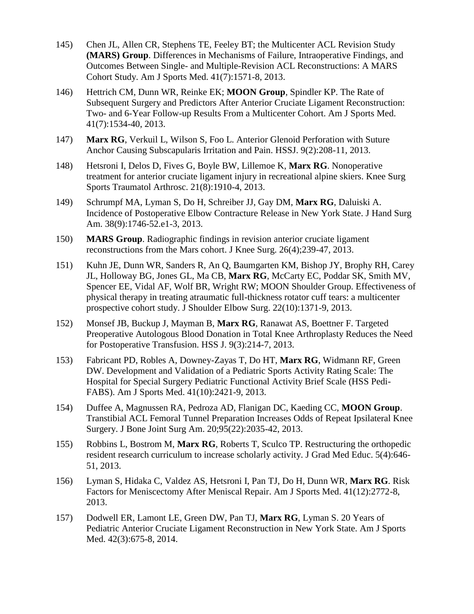- 145) Chen JL, Allen CR, Stephens TE, Feeley BT; the Multicenter ACL Revision Study **(MARS) Group**. Differences in Mechanisms of Failure, Intraoperative Findings, and Outcomes Between Single- and Multiple-Revision ACL Reconstructions: A MARS Cohort Study. Am J Sports Med. 41(7):1571-8, 2013.
- 146) Hettrich CM, Dunn WR, Reinke EK; **MOON Group**, Spindler KP. The Rate of Subsequent Surgery and Predictors After Anterior Cruciate Ligament Reconstruction: Two- and 6-Year Follow-up Results From a Multicenter Cohort. Am J Sports Med. 41(7):1534-40, 2013.
- 147) **Marx RG**, Verkuil L, Wilson S, Foo L. Anterior Glenoid Perforation with Suture Anchor Causing Subscapularis Irritation and Pain. HSSJ. 9(2):208-11, 2013.
- 148) Hetsroni I, Delos D, Fives G, Boyle BW, Lillemoe K, **Marx RG**. Nonoperative treatment for anterior cruciate ligament injury in recreational alpine skiers. Knee Surg Sports Traumatol Arthrosc. 21(8):1910-4, 2013.
- 149) Schrumpf MA, Lyman S, Do H, Schreiber JJ, Gay DM, **Marx RG**, Daluiski A. Incidence of Postoperative Elbow Contracture Release in New York State. J Hand Surg Am. 38(9):1746-52.e1-3, 2013.
- 150) **MARS Group**. Radiographic findings in revision anterior cruciate ligament reconstructions from the Mars cohort. J Knee Surg. 26(4);239-47, 2013.
- 151) Kuhn JE, Dunn WR, Sanders R, An Q, Baumgarten KM, Bishop JY, Brophy RH, Carey JL, Holloway BG, Jones GL, Ma CB, **Marx RG**, McCarty EC, Poddar SK, Smith MV, Spencer EE, Vidal AF, Wolf BR, Wright RW; MOON Shoulder Group. Effectiveness of physical therapy in treating atraumatic full-thickness rotator cuff tears: a multicenter prospective cohort study. J Shoulder Elbow Surg. 22(10):1371-9, 2013.
- 152) Monsef JB, Buckup J, Mayman B, **Marx RG**, Ranawat AS, Boettner F. Targeted Preoperative Autologous Blood Donation in Total Knee Arthroplasty Reduces the Need for Postoperative Transfusion. HSS J. 9(3):214-7, 2013.
- 153) Fabricant PD, Robles A, Downey-Zayas T, Do HT, **Marx RG**, Widmann RF, Green DW. Development and Validation of a Pediatric Sports Activity Rating Scale: The Hospital for Special Surgery Pediatric Functional Activity Brief Scale (HSS Pedi-FABS). Am J Sports Med. 41(10):2421-9, 2013.
- 154) Duffee A, Magnussen RA, Pedroza AD, Flanigan DC, Kaeding CC, **MOON Group**. Transtibial ACL Femoral Tunnel Preparation Increases Odds of Repeat Ipsilateral Knee Surgery. J Bone Joint Surg Am. 20;95(22):2035-42, 2013.
- 155) Robbins L, Bostrom M, **Marx RG**, Roberts T, Sculco TP. Restructuring the orthopedic resident research curriculum to increase scholarly activity. J Grad Med Educ. 5(4):646- 51, 2013.
- 156) Lyman S, Hidaka C, Valdez AS, Hetsroni I, Pan TJ, Do H, Dunn WR, **Marx RG**. Risk Factors for Meniscectomy After Meniscal Repair. Am J Sports Med. 41(12):2772-8, 2013.
- 157) Dodwell ER, Lamont LE, Green DW, Pan TJ, **Marx RG**, Lyman S. 20 Years of Pediatric Anterior Cruciate Ligament Reconstruction in New York State. Am J Sports Med. 42(3):675-8, 2014.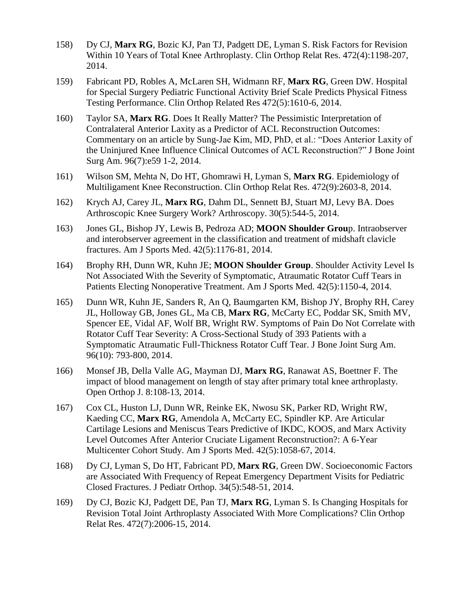- 158) Dy CJ, **Marx RG**, Bozic KJ, Pan TJ, Padgett DE, Lyman S. Risk Factors for Revision Within 10 Years of Total Knee Arthroplasty. Clin Orthop Relat Res. 472(4):1198-207, 2014.
- 159) Fabricant PD, Robles A, McLaren SH, Widmann RF, **Marx RG**, Green DW. Hospital for Special Surgery Pediatric Functional Activity Brief Scale Predicts Physical Fitness Testing Performance. Clin Orthop Related Res 472(5):1610-6, 2014.
- 160) Taylor SA, **Marx RG**. Does It Really Matter? The Pessimistic Interpretation of Contralateral Anterior Laxity as a Predictor of ACL Reconstruction Outcomes: Commentary on an article by Sung-Jae Kim, MD, PhD, et al.: "Does Anterior Laxity of the Uninjured Knee Influence Clinical Outcomes of ACL Reconstruction?" J Bone Joint Surg Am. 96(7):e59 1-2, 2014.
- 161) Wilson SM, Mehta N, Do HT, Ghomrawi H, Lyman S, **Marx RG**. Epidemiology of Multiligament Knee Reconstruction. Clin Orthop Relat Res. 472(9):2603-8, 2014.
- 162) Krych AJ, Carey JL, **Marx RG**, Dahm DL, Sennett BJ, Stuart MJ, Levy BA. Does Arthroscopic Knee Surgery Work? Arthroscopy. 30(5):544-5, 2014.
- 163) Jones GL, Bishop JY, Lewis B, Pedroza AD; **MOON Shoulder Grou**p. Intraobserver and interobserver agreement in the classification and treatment of midshaft clavicle fractures. Am J Sports Med. 42(5):1176-81, 2014.
- 164) Brophy RH, Dunn WR, Kuhn JE; **MOON Shoulder Group**. Shoulder Activity Level Is Not Associated With the Severity of Symptomatic, Atraumatic Rotator Cuff Tears in Patients Electing Nonoperative Treatment. Am J Sports Med. 42(5):1150-4, 2014.
- 165) Dunn WR, Kuhn JE, Sanders R, An Q, Baumgarten KM, Bishop JY, Brophy RH, Carey JL, Holloway GB, Jones GL, Ma CB, **Marx RG**, McCarty EC, Poddar SK, Smith MV, Spencer EE, Vidal AF, Wolf BR, Wright RW. Symptoms of Pain Do Not Correlate with Rotator Cuff Tear Severity: A Cross-Sectional Study of 393 Patients with a Symptomatic Atraumatic Full-Thickness Rotator Cuff Tear. J Bone Joint Surg Am. 96(10): 793-800, 2014.
- 166) Monsef JB, Della Valle AG, Mayman DJ, **Marx RG**, Ranawat AS, Boettner F. The impact of blood management on length of stay after primary total knee arthroplasty. Open Orthop J. 8:108-13, 2014.
- 167) Cox CL, Huston LJ, Dunn WR, Reinke EK, Nwosu SK, Parker RD, Wright RW, Kaeding CC, **Marx RG**, Amendola A, McCarty EC, Spindler KP. Are Articular Cartilage Lesions and Meniscus Tears Predictive of IKDC, KOOS, and Marx Activity Level Outcomes After Anterior Cruciate Ligament Reconstruction?: A 6-Year Multicenter Cohort Study. Am J Sports Med. 42(5):1058-67, 2014.
- 168) Dy CJ, Lyman S, Do HT, Fabricant PD, **Marx RG**, Green DW. Socioeconomic Factors are Associated With Frequency of Repeat Emergency Department Visits for Pediatric Closed Fractures. J Pediatr Orthop. 34(5):548-51, 2014.
- 169) Dy CJ, Bozic KJ, Padgett DE, Pan TJ, **Marx RG**, Lyman S. Is Changing Hospitals for Revision Total Joint Arthroplasty Associated With More Complications? Clin Orthop Relat Res. 472(7):2006-15, 2014.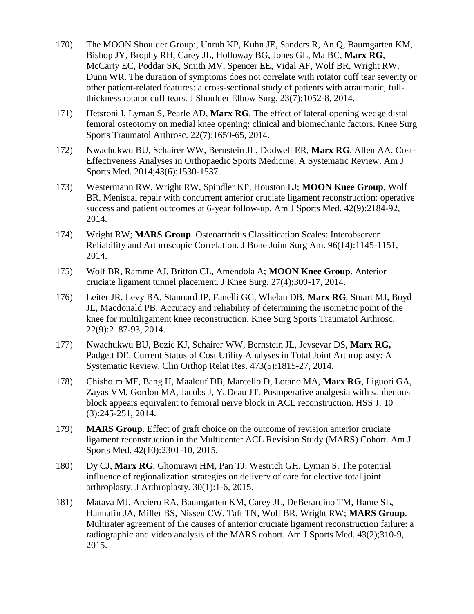- 170) The MOON Shoulder Group:, Unruh KP, Kuhn JE, Sanders R, An Q, Baumgarten KM, Bishop JY, Brophy RH, Carey JL, Holloway BG, Jones GL, Ma BC, **Marx RG**, McCarty EC, Poddar SK, Smith MV, Spencer EE, Vidal AF, Wolf BR, Wright RW, Dunn WR. The duration of symptoms does not correlate with rotator cuff tear severity or other patient-related features: a cross-sectional study of patients with atraumatic, fullthickness rotator cuff tears. J Shoulder Elbow Surg. 23(7):1052-8, 2014.
- 171) Hetsroni I, Lyman S, Pearle AD, **Marx RG**. The effect of lateral opening wedge distal femoral osteotomy on medial knee opening: clinical and biomechanic factors. Knee Surg Sports Traumatol Arthrosc. 22(7):1659-65, 2014.
- 172) Nwachukwu BU, Schairer WW, Bernstein JL, Dodwell ER, **Marx RG**, Allen AA. Cost-Effectiveness Analyses in Orthopaedic Sports Medicine: A Systematic Review. Am J Sports Med. 2014;43(6):1530-1537.
- 173) Westermann RW, Wright RW, Spindler KP, Houston LJ; **MOON Knee Group**, Wolf BR. Meniscal repair with concurrent anterior cruciate ligament reconstruction: operative success and patient outcomes at 6-year follow-up. Am J Sports Med. 42(9):2184-92, 2014.
- 174) Wright RW; **MARS Group**. Osteoarthritis Classification Scales: Interobserver Reliability and Arthroscopic Correlation. J Bone Joint Surg Am. 96(14):1145-1151, 2014.
- 175) Wolf BR, Ramme AJ, Britton CL, Amendola A; **MOON Knee Group**. Anterior cruciate ligament tunnel placement. J Knee Surg. 27(4);309-17, 2014.
- 176) Leiter JR, Levy BA, Stannard JP, Fanelli GC, Whelan DB, **Marx RG**, Stuart MJ, Boyd JL, Macdonald PB. Accuracy and reliability of determining the isometric point of the knee for multiligament knee reconstruction. Knee Surg Sports Traumatol Arthrosc. 22(9):2187-93, 2014.
- 177) Nwachukwu BU, Bozic KJ, Schairer WW, Bernstein JL, Jevsevar DS, **Marx RG,** Padgett DE. Current Status of Cost Utility Analyses in Total Joint Arthroplasty: A Systematic Review. Clin Orthop Relat Res. 473(5):1815-27, 2014.
- 178) Chisholm MF, Bang H, Maalouf DB, Marcello D, Lotano MA, **Marx RG**, Liguori GA, Zayas VM, Gordon MA, Jacobs J, YaDeau JT. Postoperative analgesia with saphenous block appears equivalent to femoral nerve block in ACL reconstruction. HSS J. 10 (3):245-251, 2014.
- 179) **MARS Group**. Effect of graft choice on the outcome of revision anterior cruciate ligament reconstruction in the Multicenter ACL Revision Study (MARS) Cohort. Am J Sports Med. 42(10):2301-10, 2015.
- 180) Dy CJ, **Marx RG**, Ghomrawi HM, Pan TJ, Westrich GH, Lyman S. The potential influence of regionalization strategies on delivery of care for elective total joint arthroplasty. J Arthroplasty. 30(1):1-6, 2015.
- 181) Matava MJ, Arciero RA, Baumgarten KM, Carey JL, DeBerardino TM, Hame SL, Hannafin JA, Miller BS, Nissen CW, Taft TN, Wolf BR, Wright RW; **MARS Group**. Multirater agreement of the causes of anterior cruciate ligament reconstruction failure: a radiographic and video analysis of the MARS cohort. Am J Sports Med. 43(2);310-9, 2015.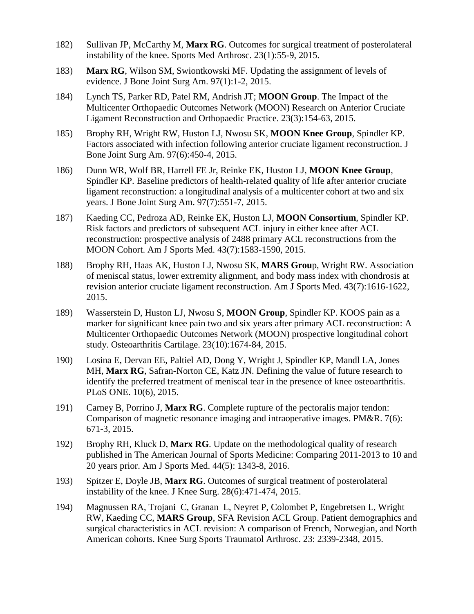- 182) Sullivan JP, McCarthy M, **Marx RG**. Outcomes for surgical treatment of posterolateral instability of the knee. Sports Med Arthrosc. 23(1):55-9, 2015.
- 183) **Marx RG**, Wilson SM, Swiontkowski MF. Updating the assignment of levels of evidence. J Bone Joint Surg Am. 97(1):1-2, 2015.
- 184) Lynch TS, Parker RD, Patel RM, Andrish JT; **MOON Group**. The Impact of the Multicenter Orthopaedic Outcomes Network (MOON) Research on Anterior Cruciate Ligament Reconstruction and Orthopaedic Practice. 23(3):154-63, 2015.
- 185) Brophy RH, Wright RW, Huston LJ, Nwosu SK, **MOON Knee Group**, Spindler KP. Factors associated with infection following anterior cruciate ligament reconstruction. J Bone Joint Surg Am. 97(6):450-4, 2015.
- 186) Dunn WR, Wolf BR, Harrell FE Jr, Reinke EK, Huston LJ, **MOON Knee Group**, Spindler KP. Baseline predictors of health-related quality of life after anterior cruciate ligament reconstruction: a longitudinal analysis of a multicenter cohort at two and six years. J Bone Joint Surg Am. 97(7):551-7, 2015.
- 187) Kaeding CC, Pedroza AD, Reinke EK, Huston LJ, **MOON Consortium**, Spindler KP. Risk factors and predictors of subsequent ACL injury in either knee after ACL reconstruction: prospective analysis of 2488 primary ACL reconstructions from the MOON Cohort. Am J Sports Med. 43(7):1583-1590, 2015.
- 188) Brophy RH, Haas AK, Huston LJ, Nwosu SK, **MARS Grou**p, Wright RW. Association of meniscal status, lower extremity alignment, and body mass index with chondrosis at revision anterior cruciate ligament reconstruction. Am J Sports Med. 43(7):1616-1622, 2015.
- 189) Wasserstein D, Huston LJ, Nwosu S, **MOON Group**, Spindler KP. KOOS pain as a marker for significant knee pain two and six years after primary ACL reconstruction: A Multicenter Orthopaedic Outcomes Network (MOON) prospective longitudinal cohort study. Osteoarthritis Cartilage. 23(10):1674-84, 2015.
- 190) Losina E, Dervan EE, Paltiel AD, Dong Y, Wright J, Spindler KP, Mandl LA, Jones MH, **Marx RG**, Safran-Norton CE, Katz JN. Defining the value of future research to identify the preferred treatment of meniscal tear in the presence of knee osteoarthritis. PLoS ONE. 10(6), 2015.
- 191) Carney B, Porrino J, **Marx RG**. Complete rupture of the pectoralis major tendon: Comparison of magnetic resonance imaging and intraoperative images. PM&R. 7(6): 671-3, 2015.
- 192) Brophy RH, Kluck D, **Marx RG**. Update on the methodological quality of research published in The American Journal of Sports Medicine: Comparing 2011-2013 to 10 and 20 years prior. Am J Sports Med. 44(5): 1343-8, 2016.
- 193) Spitzer E, Doyle JB, **Marx RG**. Outcomes of surgical treatment of posterolateral instability of the knee. J Knee Surg. 28(6):471-474, 2015.
- 194) Magnussen RA, Trojani C, Granan L, Neyret P, Colombet P, Engebretsen L, Wright RW, Kaeding CC, **MARS Group**, SFA Revision ACL Group. Patient demographics and surgical characteristics in ACL revision: A comparison of French, Norwegian, and North American cohorts. Knee Surg Sports Traumatol Arthrosc. 23: 2339-2348, 2015.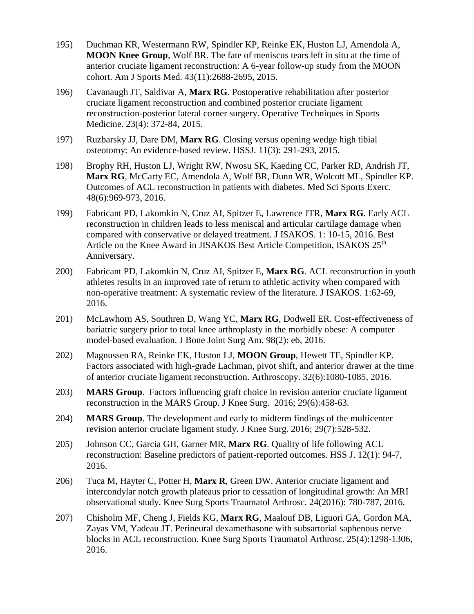- 195) Duchman KR, Westermann RW, Spindler KP, Reinke EK, Huston LJ, Amendola A, **MOON Knee Group**, Wolf BR. The fate of meniscus tears left in situ at the time of anterior cruciate ligament reconstruction: A 6-year follow-up study from the MOON cohort. Am J Sports Med. 43(11):2688-2695, 2015.
- 196) Cavanaugh JT, Saldivar A, **Marx RG**. Postoperative rehabilitation after posterior cruciate ligament reconstruction and combined posterior cruciate ligament reconstruction-posterior lateral corner surgery. Operative Techniques in Sports Medicine. 23(4): 372-84, 2015.
- 197) Ruzbarsky JJ, Dare DM, **Marx RG**. Closing versus opening wedge high tibial osteotomy: An evidence-based review. HSSJ. 11(3): 291-293, 2015.
- 198) Brophy RH, Huston LJ, Wright RW, Nwosu SK, Kaeding CC, Parker RD, Andrish JT, **Marx RG**, McCarty EC, Amendola A, Wolf BR, Dunn WR, Wolcott ML, Spindler KP. Outcomes of ACL reconstruction in patients with diabetes. Med Sci Sports Exerc. 48(6):969-973, 2016.
- 199) Fabricant PD, Lakomkin N, Cruz AI, Spitzer E, Lawrence JTR, **Marx RG**. Early ACL reconstruction in children leads to less meniscal and articular cartilage damage when compared with conservative or delayed treatment. J ISAKOS. 1: 10-15, 2016. Best Article on the Knee Award in JISAKOS Best Article Competition, ISAKOS 25<sup>th</sup> Anniversary.
- 200) Fabricant PD, Lakomkin N, Cruz AI, Spitzer E, **Marx RG**. ACL reconstruction in youth athletes results in an improved rate of return to athletic activity when compared with non-operative treatment: A systematic review of the literature. J ISAKOS. 1:62-69, 2016.
- 201) McLawhorn AS, Southren D, Wang YC, **Marx RG**, Dodwell ER. Cost-effectiveness of bariatric surgery prior to total knee arthroplasty in the morbidly obese: A computer model-based evaluation. J Bone Joint Surg Am. 98(2): e6, 2016.
- 202) Magnussen RA, Reinke EK, Huston LJ, **MOON Group**, Hewett TE, Spindler KP. Factors associated with high-grade Lachman, pivot shift, and anterior drawer at the time of anterior cruciate ligament reconstruction. Arthroscopy. 32(6):1080-1085, 2016.
- 203) **MARS Group**. Factors influencing graft choice in revision anterior cruciate ligament reconstruction in the MARS Group. J Knee Surg. 2016; 29(6):458-63.
- 204) **MARS Group**. The development and early to midterm findings of the multicenter revision anterior cruciate ligament study. J Knee Surg. 2016; 29(7):528-532.
- 205) Johnson CC, Garcia GH, Garner MR, **Marx RG**. Quality of life following ACL reconstruction: Baseline predictors of patient-reported outcomes. HSS J. 12(1): 94-7, 2016.
- 206) Tuca M, Hayter C, Potter H, **Marx R**, Green DW. Anterior cruciate ligament and intercondylar notch growth plateaus prior to cessation of longitudinal growth: An MRI observational study. Knee Surg Sports Traumatol Arthrosc. 24(2016): 780-787, 2016.
- 207) Chisholm MF, Cheng J, Fields KG, **Marx RG**, Maalouf DB, Liguori GA, Gordon MA, Zayas VM, Yadeau JT. Perineural dexamethasone with subsartorial saphenous nerve blocks in ACL reconstruction. Knee Surg Sports Traumatol Arthrosc. 25(4):1298-1306, 2016.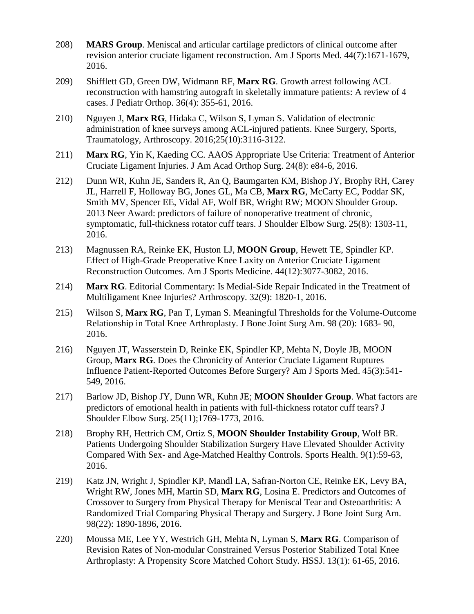- 208) **MARS Group**. Meniscal and articular cartilage predictors of clinical outcome after revision anterior cruciate ligament reconstruction. Am J Sports Med. 44(7):1671-1679, 2016.
- 209) Shifflett GD, Green DW, Widmann RF, **Marx RG**. Growth arrest following ACL reconstruction with hamstring autograft in skeletally immature patients: A review of 4 cases. J Pediatr Orthop. 36(4): 355-61, 2016.
- 210) Nguyen J, **Marx RG**, Hidaka C, Wilson S, Lyman S. Validation of electronic administration of knee surveys among ACL-injured patients. Knee Surgery, Sports, Traumatology, Arthroscopy. 2016;25(10):3116-3122.
- 211) **Marx RG**, Yin K, Kaeding CC. AAOS Appropriate Use Criteria: Treatment of Anterior Cruciate Ligament Injuries. J Am Acad Orthop Surg. 24(8): e84-6, 2016.
- 212) Dunn WR, Kuhn JE, Sanders R, An Q, Baumgarten KM, Bishop JY, Brophy RH, Carey JL, Harrell F, Holloway BG, Jones GL, Ma CB, **Marx RG**, McCarty EC, Poddar SK, Smith MV, Spencer EE, Vidal AF, Wolf BR, Wright RW; MOON Shoulder Group. 2013 Neer Award: predictors of failure of nonoperative treatment of chronic, symptomatic, full-thickness rotator cuff tears. J Shoulder Elbow Surg. 25(8): 1303-11, 2016.
- 213) Magnussen RA, Reinke EK, Huston LJ, **MOON Group**, Hewett TE, Spindler KP. Effect of High-Grade Preoperative Knee Laxity on Anterior Cruciate Ligament Reconstruction Outcomes. Am J Sports Medicine. 44(12):3077-3082, 2016.
- 214) **Marx RG**. Editorial Commentary: Is Medial-Side Repair Indicated in the Treatment of Multiligament Knee Injuries? Arthroscopy. 32(9): 1820-1, 2016.
- 215) Wilson S, **Marx RG**, Pan T, Lyman S. Meaningful Thresholds for the Volume-Outcome Relationship in Total Knee Arthroplasty. J Bone Joint Surg Am. 98 (20): 1683- 90, 2016.
- 216) Nguyen JT, Wasserstein D, Reinke EK, Spindler KP, Mehta N, Doyle JB, MOON Group, **Marx RG**. Does the Chronicity of Anterior Cruciate Ligament Ruptures Influence Patient-Reported Outcomes Before Surgery? Am J Sports Med. 45(3):541- 549, 2016.
- 217) Barlow JD, Bishop JY, Dunn WR, Kuhn JE; **MOON Shoulder Group**. What factors are predictors of emotional health in patients with full-thickness rotator cuff tears? J Shoulder Elbow Surg. 25(11);1769-1773, 2016.
- 218) Brophy RH, Hettrich CM, Ortiz S, **MOON Shoulder Instability Group**, Wolf BR. Patients Undergoing Shoulder Stabilization Surgery Have Elevated Shoulder Activity Compared With Sex- and Age-Matched Healthy Controls. Sports Health. 9(1):59-63, 2016.
- 219) Katz JN, Wright J, Spindler KP, Mandl LA, Safran-Norton CE, Reinke EK, Levy BA, Wright RW, Jones MH, Martin SD, **Marx RG**, Losina E. Predictors and Outcomes of Crossover to Surgery from Physical Therapy for Meniscal Tear and Osteoarthritis: A Randomized Trial Comparing Physical Therapy and Surgery. J Bone Joint Surg Am. 98(22): 1890-1896, 2016.
- 220) Moussa ME, Lee YY, Westrich GH, Mehta N, Lyman S, **Marx RG**. Comparison of Revision Rates of Non-modular Constrained Versus Posterior Stabilized Total Knee Arthroplasty: A Propensity Score Matched Cohort Study. HSSJ. 13(1): 61-65, 2016.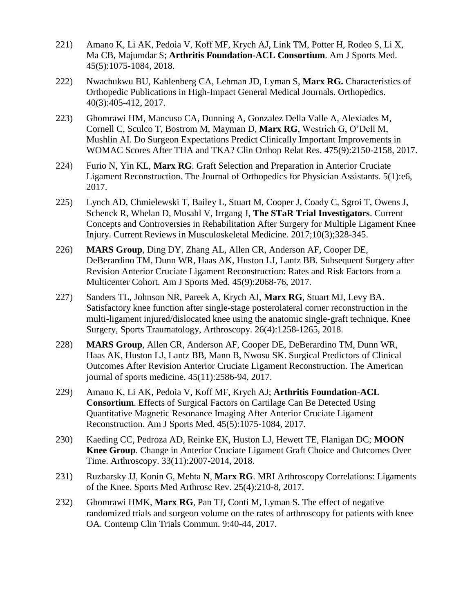- 221) Amano K, Li AK, Pedoia V, Koff MF, Krych AJ, Link TM, Potter H, Rodeo S, Li X, Ma CB, Majumdar S; **Arthritis Foundation-ACL Consortium**. Am J Sports Med. 45(5):1075-1084, 2018.
- 222) Nwachukwu BU, Kahlenberg CA, Lehman JD, Lyman S, **Marx RG.** Characteristics of Orthopedic Publications in High-Impact General Medical Journals. Orthopedics. 40(3):405-412, 2017.
- 223) Ghomrawi HM, Mancuso CA, Dunning A, Gonzalez Della Valle A, Alexiades M, Cornell C, Sculco T, Bostrom M, Mayman D, **Marx RG**, Westrich G, O'Dell M, Mushlin AI. Do Surgeon Expectations Predict Clinically Important Improvements in WOMAC Scores After THA and TKA? Clin Orthop Relat Res. 475(9):2150-2158, 2017.
- 224) Furio N, Yin KL, **Marx RG**. Graft Selection and Preparation in Anterior Cruciate Ligament Reconstruction. The Journal of Orthopedics for Physician Assistants. 5(1):e6, 2017.
- 225) Lynch AD, Chmielewski T, Bailey L, Stuart M, Cooper J, Coady C, Sgroi T, Owens J, Schenck R, Whelan D, Musahl V, Irrgang J, **The STaR Trial Investigators**. Current Concepts and Controversies in Rehabilitation After Surgery for Multiple Ligament Knee Injury. Current Reviews in Musculoskeletal Medicine. 2017;10(3);328-345.
- 226) **MARS Group**, Ding DY, Zhang AL, Allen CR, Anderson AF, Cooper DE, DeBerardino TM, Dunn WR, Haas AK, Huston LJ, Lantz BB. Subsequent Surgery after Revision Anterior Cruciate Ligament Reconstruction: Rates and Risk Factors from a Multicenter Cohort. Am J Sports Med. 45(9):2068-76, 2017.
- 227) Sanders TL, Johnson NR, Pareek A, Krych AJ, **Marx RG**, Stuart MJ, Levy BA. Satisfactory knee function after single-stage posterolateral corner reconstruction in the multi-ligament injured/dislocated knee using the anatomic single-graft technique. Knee Surgery, Sports Traumatology, Arthroscopy. 26(4):1258-1265, 2018.
- 228) **MARS Group**, Allen CR, Anderson AF, Cooper DE, DeBerardino TM, Dunn WR, Haas AK, Huston LJ, Lantz BB, Mann B, Nwosu SK. Surgical Predictors of Clinical Outcomes After Revision Anterior Cruciate Ligament Reconstruction. The American journal of sports medicine. 45(11):2586-94, 2017.
- 229) Amano K, Li AK, Pedoia V, Koff MF, Krych AJ; **Arthritis Foundation-ACL Consortium**. Effects of Surgical Factors on Cartilage Can Be Detected Using Quantitative Magnetic Resonance Imaging After Anterior Cruciate Ligament Reconstruction. Am J Sports Med. 45(5):1075-1084, 2017.
- 230) Kaeding CC, Pedroza AD, Reinke EK, Huston LJ, Hewett TE, Flanigan DC; **MOON Knee Group**. Change in Anterior Cruciate Ligament Graft Choice and Outcomes Over Time. Arthroscopy. 33(11):2007-2014, 2018.
- 231) Ruzbarsky JJ, Konin G, Mehta N, **Marx RG**. MRI Arthroscopy Correlations: Ligaments of the Knee. Sports Med Arthrosc Rev. 25(4):210-8, 2017.
- 232) Ghomrawi HMK, **Marx RG**, Pan TJ, Conti M, Lyman S. The effect of negative randomized trials and surgeon volume on the rates of arthroscopy for patients with knee OA. Contemp Clin Trials Commun. 9:40-44, 2017.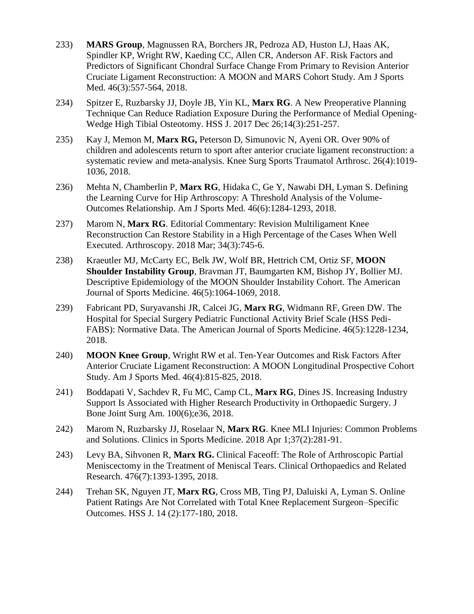- 233) **MARS Group**, Magnussen RA, Borchers JR, Pedroza AD, Huston LJ, Haas AK, Spindler KP, Wright RW, Kaeding CC, Allen CR, Anderson AF. Risk Factors and Predictors of Significant Chondral Surface Change From Primary to Revision Anterior Cruciate Ligament Reconstruction: A MOON and MARS Cohort Study. Am J Sports Med. 46(3):557-564, 2018.
- 234) Spitzer E, Ruzbarsky JJ, Doyle JB, Yin KL, **Marx RG**. A New Preoperative Planning Technique Can Reduce Radiation Exposure During the Performance of Medial Opening-Wedge High Tibial Osteotomy. HSS J. 2017 Dec 26;14(3):251-257.
- 235) Kay J, Memon M, **Marx RG,** Peterson D, Simunovic N, Ayeni OR. Over 90% of children and adolescents return to sport after anterior cruciate ligament reconstruction: a systematic review and meta-analysis. Knee Surg Sports Traumatol Arthrosc. 26(4):1019- 1036, 2018.
- 236) Mehta N, Chamberlin P, **Marx RG**, Hidaka C, Ge Y, Nawabi DH, Lyman S. Defining the Learning Curve for Hip Arthroscopy: A Threshold Analysis of the Volume-Outcomes Relationship. Am J Sports Med. 46(6):1284-1293, 2018.
- 237) Marom N, **Marx RG**. Editorial Commentary: Revision Multiligament Knee Reconstruction Can Restore Stability in a High Percentage of the Cases When Well Executed. Arthroscopy. 2018 Mar; 34(3):745-6.
- 238) Kraeutler MJ, McCarty EC, Belk JW, Wolf BR, Hettrich CM, Ortiz SF, **MOON Shoulder Instability Group**, Bravman JT, Baumgarten KM, Bishop JY, Bollier MJ. Descriptive Epidemiology of the MOON Shoulder Instability Cohort. The American Journal of Sports Medicine. 46(5):1064-1069, 2018.
- 239) Fabricant PD, Suryavanshi JR, Calcei JG, **Marx RG**, Widmann RF, Green DW. The Hospital for Special Surgery Pediatric Functional Activity Brief Scale (HSS Pedi-FABS): Normative Data. The American Journal of Sports Medicine. 46(5):1228-1234, 2018.
- 240) **MOON Knee Group**, Wright RW et al. Ten-Year Outcomes and Risk Factors After Anterior Cruciate Ligament Reconstruction: A MOON Longitudinal Prospective Cohort Study. Am J Sports Med. 46(4):815-825, 2018.
- 241) Boddapati V, Sachdev R, Fu MC, Camp CL, **Marx RG**, Dines JS. Increasing Industry Support Is Associated with Higher Research Productivity in Orthopaedic Surgery. J Bone Joint Surg Am. 100(6);e36, 2018.
- 242) Marom N, Ruzbarsky JJ, Roselaar N, **Marx RG**. Knee MLI Injuries: Common Problems and Solutions. Clinics in Sports Medicine. 2018 Apr 1;37(2):281-91.
- 243) Levy BA, Sihvonen R, **Marx RG.** Clinical Faceoff: The Role of Arthroscopic Partial Meniscectomy in the Treatment of Meniscal Tears. Clinical Orthopaedics and Related Research. 476(7):1393-1395, 2018.
- 244) Trehan SK, Nguyen JT, **Marx RG**, Cross MB, Ting PJ, Daluiski A, Lyman S. Online Patient Ratings Are Not Correlated with Total Knee Replacement Surgeon–Specific Outcomes. HSS J. 14 (2):177-180, 2018.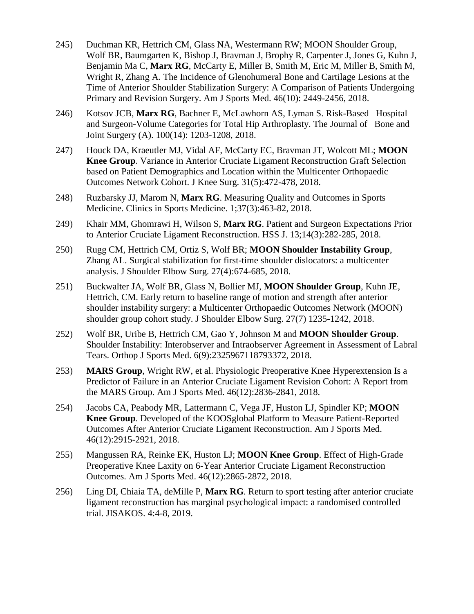- 245) Duchman KR, Hettrich CM, Glass NA, Westermann RW; MOON Shoulder Group, Wolf BR, Baumgarten K, Bishop J, Bravman J, Brophy R, Carpenter J, Jones G, Kuhn J, Benjamin Ma C, **Marx RG**, McCarty E, Miller B, Smith M, Eric M, Miller B, Smith M, Wright R, Zhang A. The Incidence of Glenohumeral Bone and Cartilage Lesions at the Time of Anterior Shoulder Stabilization Surgery: A Comparison of Patients Undergoing Primary and Revision Surgery. Am J Sports Med. 46(10): 2449-2456, 2018.
- 246) Kotsov JCB, **Marx RG**, Bachner E, McLawhorn AS, Lyman S. Risk-Based Hospital and Surgeon-Volume Categories for Total Hip Arthroplasty. The Journal of Bone and Joint Surgery (A). 100(14): 1203-1208, 2018.
- 247) Houck DA, Kraeutler MJ, Vidal AF, McCarty EC, Bravman JT, Wolcott ML; **MOON Knee Group**. Variance in Anterior Cruciate Ligament Reconstruction Graft Selection based on Patient Demographics and Location within the Multicenter Orthopaedic Outcomes Network Cohort. J Knee Surg. 31(5):472-478, 2018.
- 248) Ruzbarsky JJ, Marom N, **Marx RG**. Measuring Quality and Outcomes in Sports Medicine. Clinics in Sports Medicine. 1;37(3):463-82, 2018.
- 249) Khair MM, Ghomrawi H, Wilson S, **Marx RG**. Patient and Surgeon Expectations Prior to Anterior Cruciate Ligament Reconstruction. HSS J. 13;14(3):282-285, 2018.
- 250) Rugg CM, Hettrich CM, Ortiz S, Wolf BR; **MOON Shoulder Instability Group**, Zhang AL. Surgical stabilization for first-time shoulder dislocators: a multicenter analysis. J Shoulder Elbow Surg. 27(4):674-685, 2018.
- 251) Buckwalter JA, Wolf BR, Glass N, Bollier MJ, **MOON Shoulder Group**, Kuhn JE, Hettrich, CM. Early return to baseline range of motion and strength after anterior shoulder instability surgery: a Multicenter Orthopaedic Outcomes Network (MOON) shoulder group cohort study. J Shoulder Elbow Surg. 27(7) 1235-1242, 2018.
- 252) Wolf BR, Uribe B, Hettrich CM, Gao Y, Johnson M and **MOON Shoulder Group**. Shoulder Instability: Interobserver and Intraobserver Agreement in Assessment of Labral Tears. Orthop J Sports Med. 6(9):2325967118793372, 2018.
- 253) **MARS Group**, Wright RW, et al. Physiologic Preoperative Knee Hyperextension Is a Predictor of Failure in an Anterior Cruciate Ligament Revision Cohort: A Report from the MARS Group. Am J Sports Med. 46(12):2836-2841, 2018.
- 254) Jacobs CA, Peabody MR, Lattermann C, Vega JF, Huston LJ, Spindler KP; **MOON Knee Group**. Developed of the KOOSglobal Platform to Measure Patient-Reported Outcomes After Anterior Cruciate Ligament Reconstruction. Am J Sports Med. 46(12):2915-2921, 2018.
- 255) Mangussen RA, Reinke EK, Huston LJ; **MOON Knee Group**. Effect of High-Grade Preoperative Knee Laxity on 6-Year Anterior Cruciate Ligament Reconstruction Outcomes. Am J Sports Med. 46(12):2865-2872, 2018.
- 256) Ling DI, Chiaia TA, deMille P, **Marx RG**. Return to sport testing after anterior cruciate ligament reconstruction has marginal psychological impact: a randomised controlled trial. JISAKOS. 4:4-8, 2019.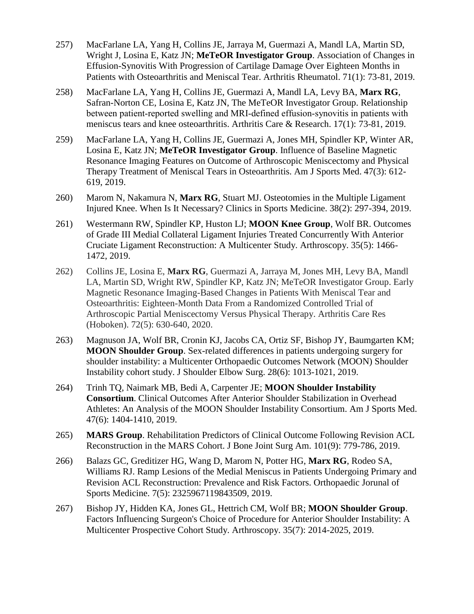- 257) MacFarlane LA, Yang H, Collins JE, Jarraya M, Guermazi A, Mandl LA, Martin SD, Wright J, Losina E, Katz JN; **MeTeOR Investigator Group**. Association of Changes in Effusion-Synovitis With Progression of Cartilage Damage Over Eighteen Months in Patients with Osteoarthritis and Meniscal Tear. Arthritis Rheumatol. 71(1): 73-81, 2019.
- 258) MacFarlane LA, Yang H, Collins JE, Guermazi A, Mandl LA, Levy BA, **Marx RG**, Safran-Norton CE, Losina E, Katz JN, The MeTeOR Investigator Group. Relationship between patient‐reported swelling and MRI‐defined effusion‐synovitis in patients with meniscus tears and knee osteoarthritis. Arthritis Care & Research. 17(1): 73-81, 2019.
- 259) MacFarlane LA, Yang H, Collins JE, Guermazi A, Jones MH, Spindler KP, Winter AR, Losina E, Katz JN; **MeTeOR Investigator Group**. Influence of Baseline Magnetic Resonance Imaging Features on Outcome of Arthroscopic Meniscectomy and Physical Therapy Treatment of Meniscal Tears in Osteoarthritis. Am J Sports Med. 47(3): 612- 619, 2019.
- 260) Marom N, Nakamura N, **Marx RG**, Stuart MJ. Osteotomies in the Multiple Ligament Injured Knee. When Is It Necessary? Clinics in Sports Medicine. 38(2): 297-394, 2019.
- 261) Westermann RW, Spindler KP, Huston LJ; **MOON Knee Group**, Wolf BR. Outcomes of Grade III Medial Collateral Ligament Injuries Treated Concurrently With Anterior Cruciate Ligament Reconstruction: A Multicenter Study. Arthroscopy. 35(5): 1466- 1472, 2019.
- 262) Collins JE, Losina E, **Marx RG**, Guermazi A, Jarraya M, Jones MH, Levy BA, Mandl LA, Martin SD, Wright RW, Spindler KP, Katz JN; MeTeOR Investigator Group. Early Magnetic Resonance Imaging-Based Changes in Patients With Meniscal Tear and Osteoarthritis: Eighteen-Month Data From a Randomized Controlled Trial of Arthroscopic Partial Meniscectomy Versus Physical Therapy. Arthritis Care Res (Hoboken). 72(5): 630-640, 2020.
- 263) Magnuson JA, Wolf BR, Cronin KJ, Jacobs CA, Ortiz SF, Bishop JY, Baumgarten KM; **MOON Shoulder Group**. Sex-related differences in patients undergoing surgery for shoulder instability: a Multicenter Orthopaedic Outcomes Network (MOON) Shoulder Instability cohort study. J Shoulder Elbow Surg. 28(6): 1013-1021, 2019.
- 264) Trinh TQ, Naimark MB, Bedi A, Carpenter JE; **MOON Shoulder Instability Consortium**. Clinical Outcomes After Anterior Shoulder Stabilization in Overhead Athletes: An Analysis of the MOON Shoulder Instability Consortium. Am J Sports Med. 47(6): 1404-1410, 2019.
- 265) **MARS Group**. Rehabilitation Predictors of Clinical Outcome Following Revision ACL Reconstruction in the MARS Cohort. J Bone Joint Surg Am. 101(9): 779-786, 2019.
- 266) Balazs GC, Greditizer HG, Wang D, Marom N, Potter HG, **Marx RG**, Rodeo SA, Williams RJ. Ramp Lesions of the Medial Meniscus in Patients Undergoing Primary and Revision ACL Reconstruction: Prevalence and Risk Factors. Orthopaedic Jorunal of Sports Medicine. 7(5): 2325967119843509, 2019.
- 267) Bishop JY, Hidden KA, Jones GL, Hettrich CM, Wolf BR; **MOON Shoulder Group**. Factors Influencing Surgeon's Choice of Procedure for Anterior Shoulder Instability: A Multicenter Prospective Cohort Study. Arthroscopy. 35(7): 2014-2025, 2019.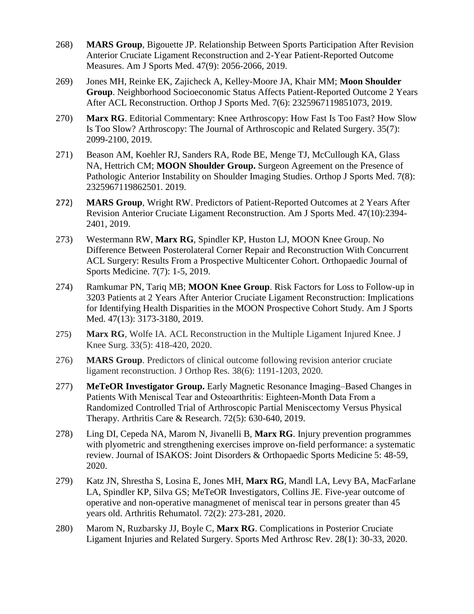- 268) **MARS Group**, Bigouette JP. Relationship Between Sports Participation After Revision Anterior Cruciate Ligament Reconstruction and 2-Year Patient-Reported Outcome Measures. Am J Sports Med. 47(9): 2056-2066, 2019.
- 269) Jones MH, Reinke EK, Zajicheck A, Kelley-Moore JA, Khair MM; **Moon Shoulder Group**. Neighborhood Socioeconomic Status Affects Patient-Reported Outcome 2 Years After ACL Reconstruction. Orthop J Sports Med. 7(6): 2325967119851073, 2019.
- 270) **Marx RG**. Editorial Commentary: Knee Arthroscopy: How Fast Is Too Fast? How Slow Is Too Slow? Arthroscopy: The Journal of Arthroscopic and Related Surgery. 35(7): 2099-2100, 2019.
- 271) Beason AM, Koehler RJ, Sanders RA, Rode BE, Menge TJ, McCullough KA, Glass NA, Hettrich CM; **MOON Shoulder Group.** Surgeon Agreement on the Presence of Pathologic Anterior Instability on Shoulder Imaging Studies. Orthop J Sports Med. 7(8): 2325967119862501. 2019.
- 272) **MARS Group**, Wright RW. Predictors of Patient-Reported Outcomes at 2 Years After Revision Anterior Cruciate Ligament Reconstruction. Am J Sports Med. 47(10):2394- 2401, 2019.
- 273) Westermann RW, **Marx RG**, Spindler KP, Huston LJ, MOON Knee Group. No Difference Between Posterolateral Corner Repair and Reconstruction With Concurrent ACL Surgery: Results From a Prospective Multicenter Cohort. Orthopaedic Journal of Sports Medicine. 7(7): 1-5, 2019.
- 274) Ramkumar PN, Tariq MB; **MOON Knee Group**. Risk Factors for Loss to Follow-up in 3203 Patients at 2 Years After Anterior Cruciate Ligament Reconstruction: Implications for Identifying Health Disparities in the MOON Prospective Cohort Study. Am J Sports Med. 47(13): 3173-3180, 2019.
- 275) **Marx RG**, Wolfe IA. ACL Reconstruction in the Multiple Ligament Injured Knee. J Knee Surg. 33(5): 418-420, 2020.
- 276) **MARS Group**. Predictors of clinical outcome following revision anterior cruciate ligament reconstruction. J Orthop Res. 38(6): 1191-1203, 2020.
- 277) **MeTeOR Investigator Group.** Early Magnetic Resonance Imaging–Based Changes in Patients With Meniscal Tear and Osteoarthritis: Eighteen‐Month Data From a Randomized Controlled Trial of Arthroscopic Partial Meniscectomy Versus Physical Therapy. Arthritis Care & Research. 72(5): 630-640, 2019.
- 278) Ling DI, Cepeda NA, Marom N, Jivanelli B, **Marx RG**. Injury prevention programmes with plyometric and strengthening exercises improve on-field performance: a systematic review. Journal of ISAKOS: Joint Disorders & Orthopaedic Sports Medicine 5: 48-59, 2020.
- 279) Katz JN, Shrestha S, Losina E, Jones MH, **Marx RG**, Mandl LA, Levy BA, MacFarlane LA, Spindler KP, Silva GS; MeTeOR Investigators, Collins JE. Five-year outcome of operative and non-operative managmenet of meniscal tear in persons greater than 45 years old. Arthritis Rehumatol. 72(2): 273-281, 2020.
- 280) Marom N, Ruzbarsky JJ, Boyle C, **Marx RG**. Complications in Posterior Cruciate Ligament Injuries and Related Surgery. Sports Med Arthrosc Rev. 28(1): 30-33, 2020.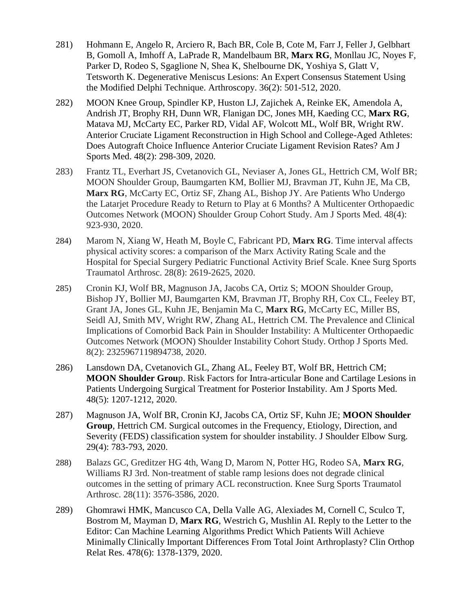- 281) Hohmann E, Angelo R, Arciero R, Bach BR, Cole B, Cote M, Farr J, Feller J, Gelbhart B, Gomoll A, Imhoff A, LaPrade R, Mandelbaum BR, **Marx RG**, Monllau JC, Noyes F, Parker D, Rodeo S, Sgaglione N, Shea K, Shelbourne DK, Yoshiya S, Glatt V, Tetsworth K. Degenerative Meniscus Lesions: An Expert Consensus Statement Using the Modified Delphi Technique. Arthroscopy. 36(2): 501-512, 2020.
- 282) MOON Knee Group, Spindler KP, Huston LJ, Zajichek A, Reinke EK, Amendola A, Andrish JT, Brophy RH, Dunn WR, Flanigan DC, Jones MH, Kaeding CC, **Marx RG**, Matava MJ, McCarty EC, Parker RD, Vidal AF, Wolcott ML, Wolf BR, Wright RW. Anterior Cruciate Ligament Reconstruction in High School and College-Aged Athletes: Does Autograft Choice Influence Anterior Cruciate Ligament Revision Rates? Am J Sports Med. 48(2): 298-309, 2020.
- 283) Frantz TL, Everhart JS, Cvetanovich GL, Neviaser A, Jones GL, Hettrich CM, Wolf BR; MOON Shoulder Group, Baumgarten KM, Bollier MJ, Bravman JT, Kuhn JE, Ma CB, **Marx RG**, McCarty EC, Ortiz SF, Zhang AL, Bishop JY. Are Patients Who Undergo the Latarjet Procedure Ready to Return to Play at 6 Months? A Multicenter Orthopaedic Outcomes Network (MOON) Shoulder Group Cohort Study. Am J Sports Med. 48(4): 923-930, 2020.
- 284) Marom N, Xiang W, Heath M, Boyle C, Fabricant PD, **Marx RG**. Time interval affects physical activity scores: a comparison of the Marx Activity Rating Scale and the Hospital for Special Surgery Pediatric Functional Activity Brief Scale. Knee Surg Sports Traumatol Arthrosc. 28(8): 2619-2625, 2020.
- 285) Cronin KJ, Wolf BR, Magnuson JA, Jacobs CA, Ortiz S; MOON Shoulder Group, Bishop JY, Bollier MJ, Baumgarten KM, Bravman JT, Brophy RH, Cox CL, Feeley BT, Grant JA, Jones GL, Kuhn JE, Benjamin Ma C, **Marx RG**, McCarty EC, Miller BS, Seidl AJ, Smith MV, Wright RW, Zhang AL, Hettrich CM. The Prevalence and Clinical Implications of Comorbid Back Pain in Shoulder Instability: A Multicenter Orthopaedic Outcomes Network (MOON) Shoulder Instability Cohort Study. Orthop J Sports Med. 8(2): 2325967119894738, 2020.
- 286) Lansdown DA, Cvetanovich GL, Zhang AL, Feeley BT, Wolf BR, Hettrich CM; **MOON Shoulder Grou**p. Risk Factors for Intra-articular Bone and Cartilage Lesions in Patients Undergoing Surgical Treatment for Posterior Instability. Am J Sports Med. 48(5): 1207-1212, 2020.
- 287) Magnuson JA, Wolf BR, Cronin KJ, Jacobs CA, Ortiz SF, Kuhn JE; **MOON Shoulder Group**, Hettrich CM. Surgical outcomes in the Frequency, Etiology, Direction, and Severity (FEDS) classification system for shoulder instability. J Shoulder Elbow Surg. 29(4): 783-793, 2020.
- 288) Balazs GC, Greditzer HG 4th, Wang D, Marom N, Potter HG, Rodeo SA, **Marx RG**, Williams RJ 3rd. Non-treatment of stable ramp lesions does not degrade clinical outcomes in the setting of primary ACL reconstruction. Knee Surg Sports Traumatol Arthrosc. 28(11): 3576-3586, 2020.
- 289) Ghomrawi HMK, Mancusco CA, Della Valle AG, Alexiades M, Cornell C, Sculco T, Bostrom M, Mayman D, **Marx RG**, Westrich G, Mushlin AI. Reply to the Letter to the Editor: Can Machine Learning Algorithms Predict Which Patients Will Achieve Minimally Clinically Important Differences From Total Joint Arthroplasty? Clin Orthop Relat Res. 478(6): 1378-1379, 2020.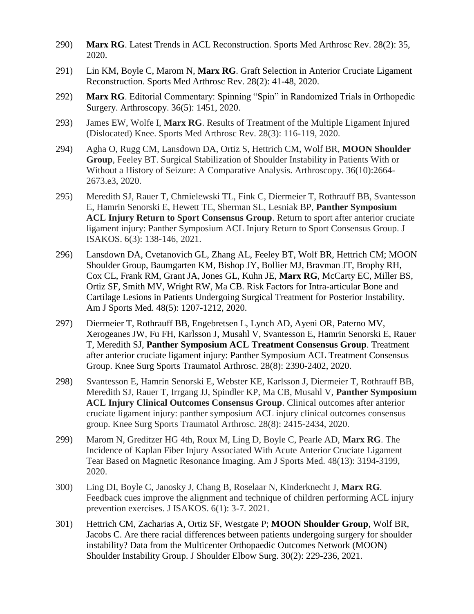- 290) **Marx RG**. Latest Trends in ACL Reconstruction. Sports Med Arthrosc Rev. 28(2): 35, 2020.
- 291) Lin KM, Boyle C, Marom N, **Marx RG**. Graft Selection in Anterior Cruciate Ligament Reconstruction. Sports Med Arthrosc Rev. 28(2): 41-48, 2020.
- 292) **Marx RG**. Editorial Commentary: Spinning "Spin" in Randomized Trials in Orthopedic Surgery. Arthroscopy. 36(5): 1451, 2020.
- 293) James EW, Wolfe I, **Marx RG**. Results of Treatment of the Multiple Ligament Injured (Dislocated) Knee. Sports Med Arthrosc Rev. 28(3): 116-119, 2020.
- 294) Agha O, Rugg CM, Lansdown DA, Ortiz S, Hettrich CM, Wolf BR, **MOON Shoulder Group**, Feeley BT. Surgical Stabilization of Shoulder Instability in Patients With or Without a History of Seizure: A Comparative Analysis. Arthroscopy. 36(10):2664- 2673.e3, 2020.
- 295) Meredith SJ, Rauer T, Chmielewski TL, Fink C, Diermeier T, Rothrauff BB, Svantesson E, Hamrin Senorski E, Hewett TE, Sherman SL, Lesniak BP, **Panther Symposium ACL Injury Return to Sport Consensus Group**. Return to sport after anterior cruciate ligament injury: Panther Symposium ACL Injury Return to Sport Consensus Group. J ISAKOS. 6(3): 138-146, 2021.
- 296) Lansdown DA, Cvetanovich GL, Zhang AL, Feeley BT, Wolf BR, Hettrich CM; MOON Shoulder Group, Baumgarten KM, Bishop JY, Bollier MJ, Bravman JT, Brophy RH, Cox CL, Frank RM, Grant JA, Jones GL, Kuhn JE, **Marx RG**, McCarty EC, Miller BS, Ortiz SF, Smith MV, Wright RW, Ma CB. Risk Factors for Intra-articular Bone and Cartilage Lesions in Patients Undergoing Surgical Treatment for Posterior Instability. Am J Sports Med. 48(5): 1207-1212, 2020.
- 297) Diermeier T, Rothrauff BB, Engebretsen L, Lynch AD, Ayeni OR, Paterno MV, Xerogeanes JW, Fu FH, Karlsson J, Musahl V, Svantesson E, Hamrin Senorski E, Rauer T, Meredith SJ, **Panther Symposium ACL Treatment Consensus Group**. Treatment after anterior cruciate ligament injury: Panther Symposium ACL Treatment Consensus Group. Knee Surg Sports Traumatol Arthrosc. 28(8): 2390-2402, 2020.
- 298) Svantesson E, Hamrin Senorski E, Webster KE, Karlsson J, Diermeier T, Rothrauff BB, Meredith SJ, Rauer T, Irrgang JJ, Spindler KP, Ma CB, Musahl V, **Panther Symposium ACL Injury Clinical Outcomes Consensus Group**. Clinical outcomes after anterior cruciate ligament injury: panther symposium ACL injury clinical outcomes consensus group. Knee Surg Sports Traumatol Arthrosc. 28(8): 2415-2434, 2020.
- 299) Marom N, Greditzer HG 4th, Roux M, Ling D, Boyle C, Pearle AD, **Marx RG**. The Incidence of Kaplan Fiber Injury Associated With Acute Anterior Cruciate Ligament Tear Based on Magnetic Resonance Imaging. Am J Sports Med. 48(13): 3194-3199, 2020.
- 300) Ling DI, Boyle C, Janosky J, Chang B, Roselaar N, Kinderknecht J, **Marx RG**. Feedback cues improve the alignment and technique of children performing ACL injury prevention exercises. J ISAKOS. 6(1): 3-7. 2021.
- 301) Hettrich CM, Zacharias A, Ortiz SF, Westgate P; **MOON Shoulder Group**, Wolf BR, Jacobs C. Are there racial differences between patients undergoing surgery for shoulder instability? Data from the Multicenter Orthopaedic Outcomes Network (MOON) Shoulder Instability Group. J Shoulder Elbow Surg. 30(2): 229-236, 2021.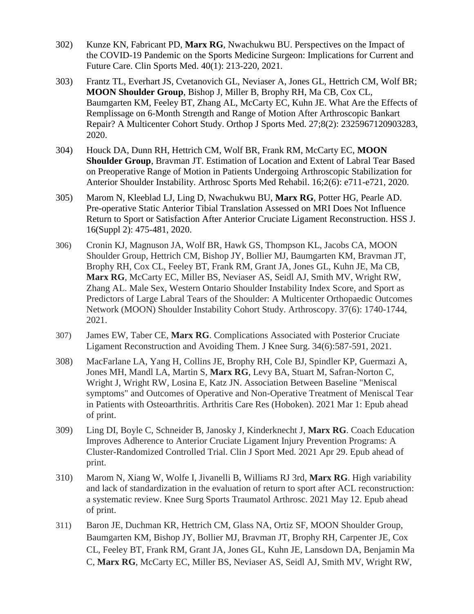- 302) Kunze KN, Fabricant PD, **Marx RG**, Nwachukwu BU. Perspectives on the Impact of the COVID-19 Pandemic on the Sports Medicine Surgeon: Implications for Current and Future Care. Clin Sports Med. 40(1): 213-220, 2021.
- 303) Frantz TL, Everhart JS, Cvetanovich GL, Neviaser A, Jones GL, Hettrich CM, Wolf BR; **MOON Shoulder Group**, Bishop J, Miller B, Brophy RH, Ma CB, Cox CL, Baumgarten KM, Feeley BT, Zhang AL, McCarty EC, Kuhn JE. What Are the Effects of Remplissage on 6-Month Strength and Range of Motion After Arthroscopic Bankart Repair? A Multicenter Cohort Study. Orthop J Sports Med. 27;8(2): 2325967120903283, 2020.
- 304) Houck DA, Dunn RH, Hettrich CM, Wolf BR, Frank RM, McCarty EC, **MOON Shoulder Group**, Bravman JT. Estimation of Location and Extent of Labral Tear Based on Preoperative Range of Motion in Patients Undergoing Arthroscopic Stabilization for Anterior Shoulder Instability. Arthrosc Sports Med Rehabil. 16;2(6): e711-e721, 2020.
- 305) Marom N, Kleeblad LJ, Ling D, Nwachukwu BU, **Marx RG**, Potter HG, Pearle AD. Pre-operative Static Anterior Tibial Translation Assessed on MRI Does Not Influence Return to Sport or Satisfaction After Anterior Cruciate Ligament Reconstruction. HSS J. 16(Suppl 2): 475-481, 2020.
- 306) Cronin KJ, Magnuson JA, Wolf BR, Hawk GS, Thompson KL, Jacobs CA, MOON Shoulder Group, Hettrich CM, Bishop JY, Bollier MJ, Baumgarten KM, Bravman JT, Brophy RH, Cox CL, Feeley BT, Frank RM, Grant JA, Jones GL, Kuhn JE, Ma CB, **Marx RG**, McCarty EC, Miller BS, Neviaser AS, Seidl AJ, Smith MV, Wright RW, Zhang AL. Male Sex, Western Ontario Shoulder Instability Index Score, and Sport as Predictors of Large Labral Tears of the Shoulder: A Multicenter Orthopaedic Outcomes Network (MOON) Shoulder Instability Cohort Study. Arthroscopy. 37(6): 1740-1744, 2021.
- 307) James EW, Taber CE, **Marx RG**. Complications Associated with Posterior Cruciate Ligament Reconstruction and Avoiding Them. J Knee Surg. 34(6):587-591, 2021.
- 308) MacFarlane LA, Yang H, Collins JE, Brophy RH, Cole BJ, Spindler KP, Guermazi A, Jones MH, Mandl LA, Martin S, **Marx RG**, Levy BA, Stuart M, Safran-Norton C, Wright J, Wright RW, Losina E, Katz JN. Association Between Baseline "Meniscal symptoms" and Outcomes of Operative and Non-Operative Treatment of Meniscal Tear in Patients with Osteoarthritis. Arthritis Care Res (Hoboken). 2021 Mar 1: Epub ahead of print.
- 309) Ling DI, Boyle C, Schneider B, Janosky J, Kinderknecht J, **Marx RG**. Coach Education Improves Adherence to Anterior Cruciate Ligament Injury Prevention Programs: A Cluster-Randomized Controlled Trial. Clin J Sport Med. 2021 Apr 29. Epub ahead of print.
- 310) Marom N, Xiang W, Wolfe I, Jivanelli B, Williams RJ 3rd, **Marx RG**. High variability and lack of standardization in the evaluation of return to sport after ACL reconstruction: a systematic review. Knee Surg Sports Traumatol Arthrosc. 2021 May 12. Epub ahead of print.
- 311) Baron JE, Duchman KR, Hettrich CM, Glass NA, Ortiz SF, MOON Shoulder Group, Baumgarten KM, Bishop JY, Bollier MJ, Bravman JT, Brophy RH, Carpenter JE, Cox CL, Feeley BT, Frank RM, Grant JA, Jones GL, Kuhn JE, Lansdown DA, Benjamin Ma C, **Marx RG**, McCarty EC, Miller BS, Neviaser AS, Seidl AJ, Smith MV, Wright RW,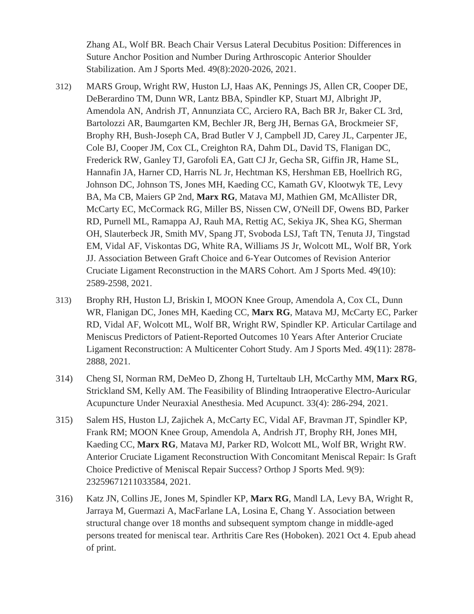Zhang AL, Wolf BR. Beach Chair Versus Lateral Decubitus Position: Differences in Suture Anchor Position and Number During Arthroscopic Anterior Shoulder Stabilization. Am J Sports Med. 49(8):2020-2026, 2021.

- 312) MARS Group, Wright RW, Huston LJ, Haas AK, Pennings JS, Allen CR, Cooper DE, DeBerardino TM, Dunn WR, Lantz BBA, Spindler KP, Stuart MJ, Albright JP, Amendola AN, Andrish JT, Annunziata CC, Arciero RA, Bach BR Jr, Baker CL 3rd, Bartolozzi AR, Baumgarten KM, Bechler JR, Berg JH, Bernas GA, Brockmeier SF, Brophy RH, Bush-Joseph CA, Brad Butler V J, Campbell JD, Carey JL, Carpenter JE, Cole BJ, Cooper JM, Cox CL, Creighton RA, Dahm DL, David TS, Flanigan DC, Frederick RW, Ganley TJ, Garofoli EA, Gatt CJ Jr, Gecha SR, Giffin JR, Hame SL, Hannafin JA, Harner CD, Harris NL Jr, Hechtman KS, Hershman EB, Hoellrich RG, Johnson DC, Johnson TS, Jones MH, Kaeding CC, Kamath GV, Klootwyk TE, Levy BA, Ma CB, Maiers GP 2nd, **Marx RG**, Matava MJ, Mathien GM, McAllister DR, McCarty EC, McCormack RG, Miller BS, Nissen CW, O'Neill DF, Owens BD, Parker RD, Purnell ML, Ramappa AJ, Rauh MA, Rettig AC, Sekiya JK, Shea KG, Sherman OH, Slauterbeck JR, Smith MV, Spang JT, Svoboda LSJ, Taft TN, Tenuta JJ, Tingstad EM, Vidal AF, Viskontas DG, White RA, Williams JS Jr, Wolcott ML, Wolf BR, York JJ. Association Between Graft Choice and 6-Year Outcomes of Revision Anterior Cruciate Ligament Reconstruction in the MARS Cohort. Am J Sports Med. 49(10): 2589-2598, 2021.
- 313) Brophy RH, Huston LJ, Briskin I, MOON Knee Group, Amendola A, Cox CL, Dunn WR, Flanigan DC, Jones MH, Kaeding CC, **Marx RG**, Matava MJ, McCarty EC, Parker RD, Vidal AF, Wolcott ML, Wolf BR, Wright RW, Spindler KP. Articular Cartilage and Meniscus Predictors of Patient-Reported Outcomes 10 Years After Anterior Cruciate Ligament Reconstruction: A Multicenter Cohort Study. Am J Sports Med. 49(11): 2878- 2888, 2021.
- 314) Cheng SI, Norman RM, DeMeo D, Zhong H, Turteltaub LH, McCarthy MM, **Marx RG**, Strickland SM, Kelly AM. The Feasibility of Blinding Intraoperative Electro-Auricular Acupuncture Under Neuraxial Anesthesia. Med Acupunct. 33(4): 286-294, 2021.
- 315) Salem HS, Huston LJ, Zajichek A, McCarty EC, Vidal AF, Bravman JT, Spindler KP, Frank RM; MOON Knee Group, Amendola A, Andrish JT, Brophy RH, Jones MH, Kaeding CC, **Marx RG**, Matava MJ, Parker RD, Wolcott ML, Wolf BR, Wright RW. Anterior Cruciate Ligament Reconstruction With Concomitant Meniscal Repair: Is Graft Choice Predictive of Meniscal Repair Success? Orthop J Sports Med. 9(9): 23259671211033584, 2021.
- 316) Katz JN, Collins JE, Jones M, Spindler KP, **Marx RG**, Mandl LA, Levy BA, Wright R, Jarraya M, Guermazi A, MacFarlane LA, Losina E, Chang Y. Association between structural change over 18 months and subsequent symptom change in middle-aged persons treated for meniscal tear. Arthritis Care Res (Hoboken). 2021 Oct 4. Epub ahead of print.